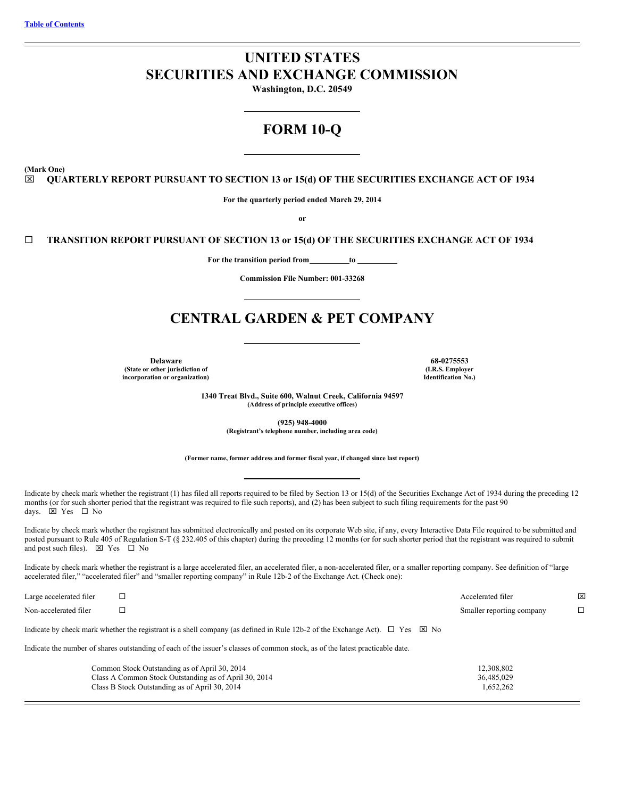## **UNITED STATES SECURITIES AND EXCHANGE COMMISSION**

**Washington, D.C. 20549**

## **FORM 10-Q**

**(Mark One)**

#### x **QUARTERLY REPORT PURSUANT TO SECTION 13 or 15(d) OF THE SECURITIES EXCHANGE ACT OF 1934**

**For the quarterly period ended March 29, 2014**

**or**

#### ¨ **TRANSITION REPORT PURSUANT OF SECTION 13 or 15(d) OF THE SECURITIES EXCHANGE ACT OF 1934**

**For** the transition period from \_\_\_\_\_\_\_\_\_ to \_\_\_\_

**Commission File Number: 001-33268**

## **CENTRAL GARDEN & PET COMPANY**

**Delaware 68-0275553 (State or other jurisdiction of incorporation or organization)**

**(I.R.S. Employer Identification No.)**

**1340 Treat Blvd., Suite 600, Walnut Creek, California 94597 (Address of principle executive offices)**

> **(925) 948-4000 (Registrant's telephone number, including area code)**

**(Former name, former address and former fiscal year, if changed since last report)**

Indicate by check mark whether the registrant (1) has filed all reports required to be filed by Section 13 or 15(d) of the Securities Exchange Act of 1934 during the preceding 12 months (or for such shorter period that the registrant was required to file such reports), and (2) has been subject to such filing requirements for the past 90 days.  $\overline{\boxtimes}$  Yes  $\Box$  No

Indicate by check mark whether the registrant has submitted electronically and posted on its corporate Web site, if any, every Interactive Data File required to be submitted and posted pursuant to Rule 405 of Regulation S-T (§ 232.405 of this chapter) during the preceding 12 months (or for such shorter period that the registrant was required to submit and post such files).  $\boxtimes$  Yes  $\Box$  No

Indicate by check mark whether the registrant is a large accelerated filer, an accelerated filer, a non-accelerated filer, or a smaller reporting company. See definition of "large accelerated filer," "accelerated filer" and "smaller reporting company" in Rule 12b-2 of the Exchange Act. (Check one):

| Large accelerated filer |                                                                                                                                            | Accelerated filer         | × |
|-------------------------|--------------------------------------------------------------------------------------------------------------------------------------------|---------------------------|---|
| Non-accelerated filer   |                                                                                                                                            | Smaller reporting company | □ |
|                         | Indicate by check mark whether the registrant is a shell company (as defined in Rule 12b-2 of the Exchange Act). $\Box$ Yes $\boxtimes$ No |                           |   |
|                         | Indicate the number of shares outstanding of each of the issuer's classes of common stock, as of the latest practicable date.              |                           |   |
|                         | Common Stock Outstanding as of April 30, 2014                                                                                              | 12,308,802                |   |
|                         | Class A Common Stock Outstanding as of April 30, 2014                                                                                      | 36,485,029                |   |
|                         | Class B Stock Outstanding as of April 30, 2014                                                                                             | 1,652,262                 |   |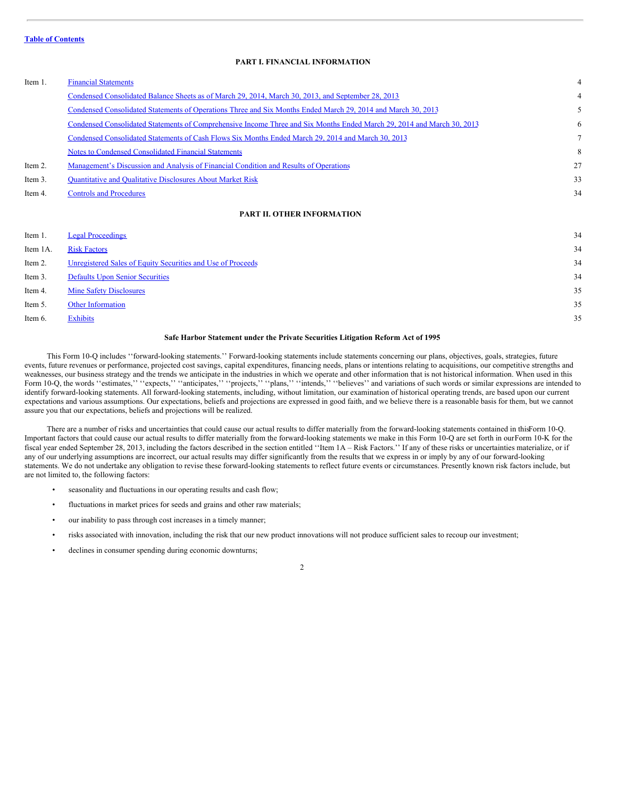#### <span id="page-1-0"></span>**PART I. FINANCIAL INFORMATION**

#### Item 1. Financial [Statements](#page-3-0) 4

|         | Condensed Consolidated Balance Sheets as of March 29, 2014, March 30, 2013, and September 28, 2013                     |    |
|---------|------------------------------------------------------------------------------------------------------------------------|----|
|         | Condensed Consolidated Statements of Operations Three and Six Months Ended March 29, 2014 and March 30, 2013           |    |
|         | Condensed Consolidated Statements of Comprehensive Income Three and Six Months Ended March 29, 2014 and March 30, 2013 | 6  |
|         | Condensed Consolidated Statements of Cash Flows Six Months Ended March 29, 2014 and March 30, 2013                     | 7  |
|         | Notes to Condensed Consolidated Financial Statements                                                                   | 8  |
| Item 2. | Management's Discussion and Analysis of Financial Condition and Results of Operations                                  | 27 |
| Item 3. | <b>Quantitative and Qualitative Disclosures About Market Risk</b>                                                      | 33 |
| Item 4. | <b>Controls and Procedures</b>                                                                                         | 34 |
|         |                                                                                                                        |    |

#### **PART II. OTHER INFORMATION**

| Item 1.  | <b>Legal Proceedings</b>                                    | 34 |
|----------|-------------------------------------------------------------|----|
| Item 1A. | <b>Risk Factors</b>                                         | 34 |
| Item 2.  | Unregistered Sales of Equity Securities and Use of Proceeds | 34 |
| Item 3.  | <b>Defaults Upon Senior Securities</b>                      | 34 |
| Item 4.  | <b>Mine Safety Disclosures</b>                              | 35 |
| Item 5.  | <b>Other Information</b>                                    | 35 |
| Item 6.  | Exhibits                                                    | 35 |
|          |                                                             |    |

#### **Safe Harbor Statement under the Private Securities Litigation Reform Act of 1995**

This Form 10-Q includes ''forward-looking statements.'' Forward-looking statements include statements concerning our plans, objectives, goals, strategies, future events, future revenues or performance, projected cost savings, capital expenditures, financing needs, plans or intentions relating to acquisitions, our competitive strengths and weaknesses, our business strategy and the trends we anticipate in the industries in which we operate and other information that is not historical information. When used in this Form 10-Q, the words "estimates," "expects," "anticipates," "projects," "plans," "intends," "believes" and variations of such words or similar expressions are intended to identify forward-looking statements. All forward-looking statements, including, without limitation, our examination of historical operating trends, are based upon our current expectations and various assumptions. Our expectations, beliefs and projections are expressed in good faith, and we believe there is a reasonable basis for them, but we cannot assure you that our expectations, beliefs and projections will be realized.

There are a number of risks and uncertainties that could cause our actual results to differ materially from the forward-looking statements contained in thisForm 10-Q. Important factors that could cause our actual results to differ materially from the forward-looking statements we make in this Form 10-Q are set forth in ourForm 10-K for the fiscal year ended September 28, 2013, including the factors described in the section entitled ''Item 1A – Risk Factors.'' If any of these risks or uncertainties materialize, or if any of our underlying assumptions are incorrect, our actual results may differ significantly from the results that we express in or imply by any of our forward-looking statements. We do not undertake any obligation to revise these forward-looking statements to reflect future events or circumstances. Presently known risk factors include, but are not limited to, the following factors:

- seasonality and fluctuations in our operating results and cash flow;
- fluctuations in market prices for seeds and grains and other raw materials;
- our inability to pass through cost increases in a timely manner;
- risks associated with innovation, including the risk that our new product innovations will not produce sufficient sales to recoup our investment;
- declines in consumer spending during economic downturns;

 $\overline{2}$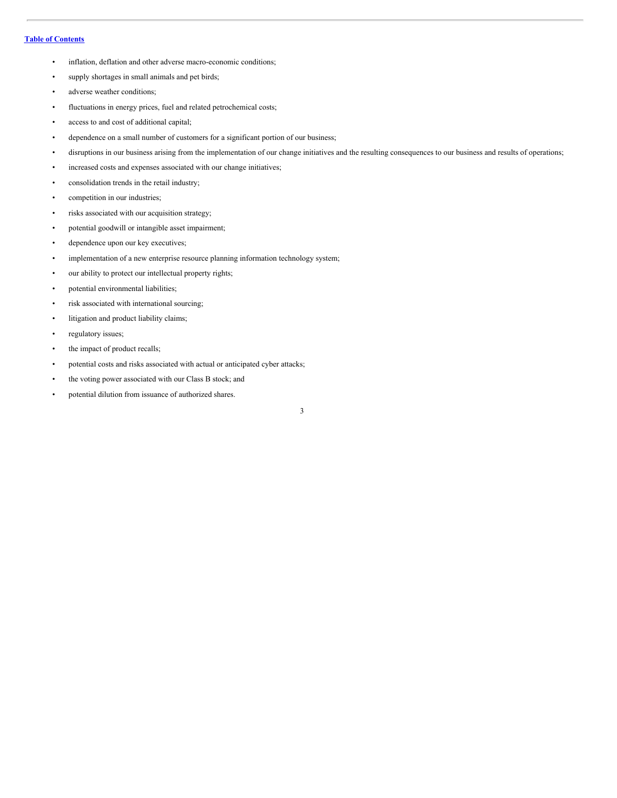- inflation, deflation and other adverse macro-economic conditions;
- supply shortages in small animals and pet birds;
- adverse weather conditions;
- fluctuations in energy prices, fuel and related petrochemical costs;
- access to and cost of additional capital;
- dependence on a small number of customers for a significant portion of our business;
- disruptions in our business arising from the implementation of our change initiatives and the resulting consequences to our business and results of operations;
- increased costs and expenses associated with our change initiatives;
- consolidation trends in the retail industry;
- competition in our industries;
- risks associated with our acquisition strategy;
- potential goodwill or intangible asset impairment;
- dependence upon our key executives;
- implementation of a new enterprise resource planning information technology system;
- our ability to protect our intellectual property rights;
- potential environmental liabilities;
- risk associated with international sourcing;
- litigation and product liability claims;
- regulatory issues;
- the impact of product recalls;
- potential costs and risks associated with actual or anticipated cyber attacks;
- the voting power associated with our Class B stock; and
- potential dilution from issuance of authorized shares.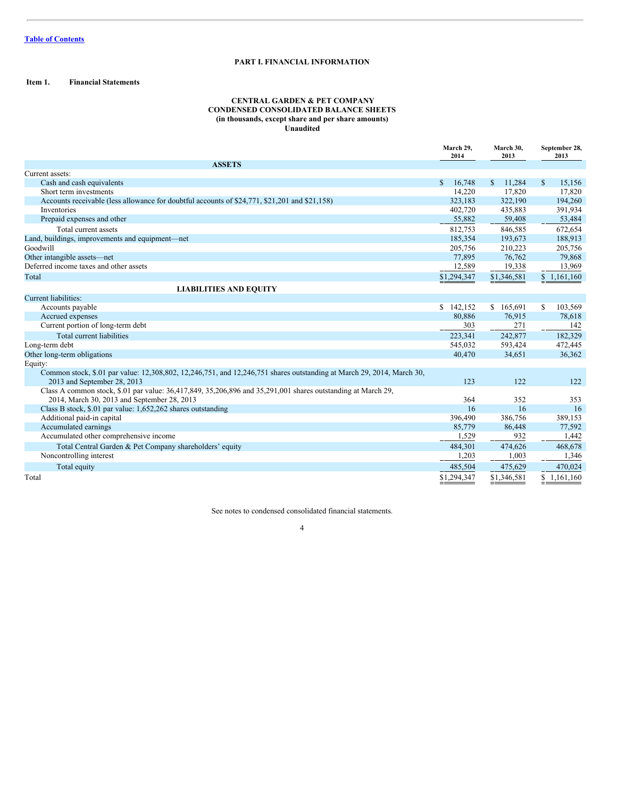#### **PART I. FINANCIAL INFORMATION**

#### <span id="page-3-0"></span>**Item 1. Financial Statements**

#### <span id="page-3-1"></span>**CENTRAL GARDEN & PET COMPANY CONDENSED CONSOLIDATED BALANCE SHEETS (in thousands, except share and per share amounts) Unaudited**

|                                                                                                                                                      | March 29,<br>2014      | March 30,<br>2013       | September 28,<br>2013   |
|------------------------------------------------------------------------------------------------------------------------------------------------------|------------------------|-------------------------|-------------------------|
| <b>ASSETS</b>                                                                                                                                        |                        |                         |                         |
| Current assets:                                                                                                                                      |                        |                         |                         |
| Cash and cash equivalents                                                                                                                            | $\mathbb{S}$<br>16,748 | <sup>\$</sup><br>11,284 | <sup>\$</sup><br>15,156 |
| Short term investments                                                                                                                               | 14.220                 | 17,820                  | 17,820                  |
| Accounts receivable (less allowance for doubtful accounts of \$24,771, \$21,201 and \$21,158)                                                        | 323,183                | 322,190                 | 194,260                 |
| <b>Inventories</b>                                                                                                                                   | 402,720                | 435,883                 | 391,934                 |
| Prepaid expenses and other                                                                                                                           | 55,882                 | 59,408                  | 53,484                  |
| Total current assets                                                                                                                                 | 812,753                | 846,585                 | 672,654                 |
| Land, buildings, improvements and equipment—net                                                                                                      | 185,354                | 193,673                 | 188,913                 |
| Goodwill                                                                                                                                             | 205,756                | 210,223                 | 205,756                 |
| Other intangible assets—net                                                                                                                          | 77,895                 | 76,762                  | 79,868                  |
| Deferred income taxes and other assets                                                                                                               | 12,589                 | 19,338                  | 13,969                  |
| Total                                                                                                                                                | \$1,294,347            | \$1,346,581             | \$1,161,160             |
| <b>LIABILITIES AND EQUITY</b>                                                                                                                        |                        |                         |                         |
| Current liabilities:                                                                                                                                 |                        |                         |                         |
| Accounts payable                                                                                                                                     | 142,152<br>S.          | \$165,691               | 103,569<br>\$           |
| Accrued expenses                                                                                                                                     | 80.886                 | 76,915                  | 78,618                  |
| Current portion of long-term debt                                                                                                                    | 303                    | 271                     | 142                     |
| Total current liabilities                                                                                                                            | 223.341                | 242,877                 | 182,329                 |
| Long-term debt                                                                                                                                       | 545,032                | 593,424                 | 472,445                 |
| Other long-term obligations                                                                                                                          | 40,470                 | 34,651                  | 36,362                  |
| Equity:                                                                                                                                              |                        |                         |                         |
| Common stock, \$.01 par value: 12,308,802, 12,246,751, and 12,246,751 shares outstanding at March 29, 2014, March 30,<br>2013 and September 28, 2013 | 123                    | 122                     | 122                     |
| Class A common stock, \$.01 par value: 36,417,849, 35,206,896 and 35,291,001 shares outstanding at March 29,                                         |                        |                         |                         |
| 2014, March 30, 2013 and September 28, 2013                                                                                                          | 364                    | 352                     | 353                     |
| Class B stock, \$.01 par value: 1,652,262 shares outstanding                                                                                         | 16                     | 16                      | 16                      |
| Additional paid-in capital                                                                                                                           | 396,490                | 386,756                 | 389,153                 |
| Accumulated earnings                                                                                                                                 | 85,779                 | 86,448                  | 77,592                  |
| Accumulated other comprehensive income                                                                                                               | 1,529                  | 932                     | 1,442                   |
| Total Central Garden & Pet Company shareholders' equity                                                                                              | 484,301                | 474,626                 | 468,678                 |
| Noncontrolling interest                                                                                                                              | 1,203                  | 1,003                   | 1,346                   |
| Total equity                                                                                                                                         | 485,504                | 475,629                 | 470,024                 |
| Total                                                                                                                                                | \$1,294,347            | \$1,346,581             | \$1.161.160             |

See notes to condensed consolidated financial statements.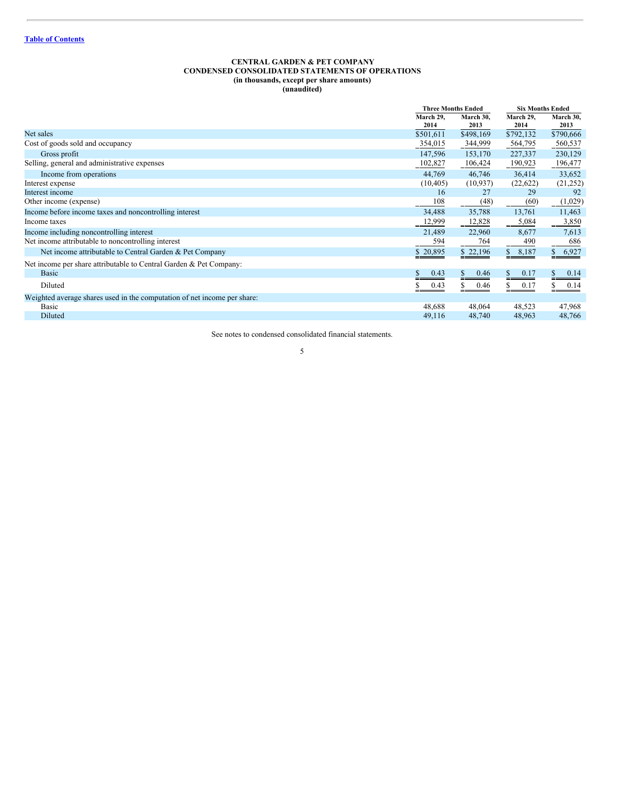#### <span id="page-4-0"></span>**CENTRAL GARDEN & PET COMPANY CONDENSED CONSOLIDATED STATEMENTS OF OPERATIONS (in thousands, except per share amounts) (unaudited)**

|                                                                          |            | <b>Three Months Ended</b> |            | <b>Six Months Ended</b> |  |
|--------------------------------------------------------------------------|------------|---------------------------|------------|-------------------------|--|
|                                                                          | March 29,  | March 30,                 | March 29,  | March 30,               |  |
|                                                                          | 2014       | 2013                      | 2014       | 2013                    |  |
| Net sales                                                                | \$501,611  | \$498,169                 | \$792,132  | \$790,666               |  |
| Cost of goods sold and occupancy                                         | 354,015    | 344,999                   | 564,795    | 560,537                 |  |
| Gross profit                                                             | 147,596    | 153,170                   | 227,337    | 230,129                 |  |
| Selling, general and administrative expenses                             | 102,827    | 106,424                   | 190,923    | 196,477                 |  |
| Income from operations                                                   | 44,769     | 46,746                    | 36,414     | 33,652                  |  |
| Interest expense                                                         | (10, 405)  | (10, 937)                 | (22,622)   | (21,252)                |  |
| Interest income                                                          | 16         | 27                        | 29         | 92                      |  |
| Other income (expense)                                                   | 108        | (48)                      | (60)       | (1,029)                 |  |
| Income before income taxes and noncontrolling interest                   | 34,488     | 35,788                    | 13,761     | 11,463                  |  |
| Income taxes                                                             | 12,999     | 12,828                    | 5,084      | 3,850                   |  |
| Income including noncontrolling interest                                 | 21,489     | 22,960                    | 8,677      | 7,613                   |  |
| Net income attributable to noncontrolling interest                       | 594        | 764                       | 490        | 686                     |  |
| Net income attributable to Central Garden & Pet Company                  | \$20,895   | \$22,196                  | \$8,187    | 6,927<br>\$             |  |
| Net income per share attributable to Central Garden & Pet Company:       |            |                           |            |                         |  |
| <b>Basic</b>                                                             | S.<br>0.43 | \$<br>0.46                | S.<br>0.17 | S.<br>0.14              |  |
| Diluted                                                                  | 0.43       | S<br>0.46                 | 0.17       | 0.14                    |  |
| Weighted average shares used in the computation of net income per share: |            |                           |            |                         |  |
| Basic                                                                    | 48,688     | 48,064                    | 48,523     | 47,968                  |  |
| Diluted                                                                  | 49,116     | 48,740                    | 48,963     | 48,766                  |  |
|                                                                          |            |                           |            |                         |  |

See notes to condensed consolidated financial statements.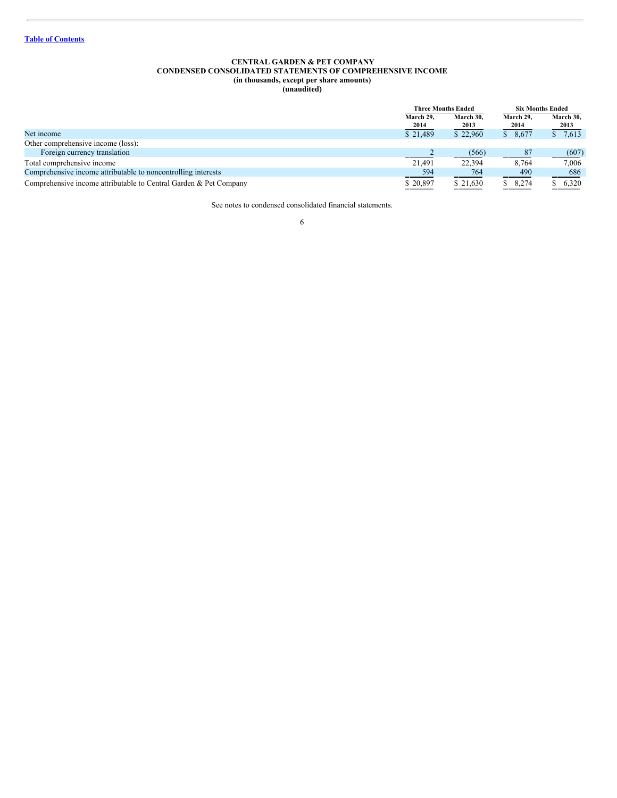#### <span id="page-5-0"></span>**CENTRAL GARDEN & PET COMPANY CONDENSED CONSOLIDATED STATEMENTS OF COMPREHENSIVE INCOME (in thousands, except per share amounts) (unaudited)**

|                                                                   |                     | <b>Three Months Ended</b> |                   | <b>Six Months Ended</b> |
|-------------------------------------------------------------------|---------------------|---------------------------|-------------------|-------------------------|
|                                                                   | March 29.<br>2014   | March 30.<br>2013         | March 29,<br>2014 | March 30,<br>2013       |
| Net income                                                        | \$21,489            | \$22,960                  | \$8,677           | \$7,613                 |
| Other comprehensive income (loss):                                |                     |                           |                   |                         |
| Foreign currency translation                                      |                     | (566)                     | 87                | (607)                   |
| Total comprehensive income                                        | 21.491              | 22.394                    | 8.764             | 7.006                   |
| Comprehensive income attributable to noncontrolling interests     | $-594$              | 764                       | 490               | 686                     |
| Comprehensive income attributable to Central Garden & Pet Company | \$20,897<br>_______ | \$21,630<br>_______       | 8,274             | \$6,320<br>______       |

See notes to condensed consolidated financial statements.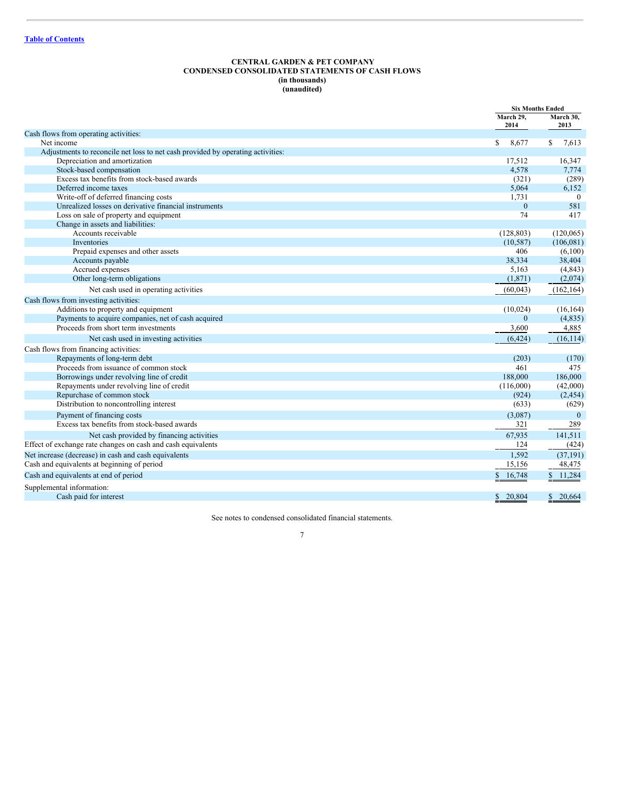#### <span id="page-6-0"></span>**CENTRAL GARDEN & PET COMPANY CONDENSED CONSOLIDATED STATEMENTS OF CASH FLOWS (in thousands) (unaudited)**

|                                                                                 |                        | <b>Six Months Ended</b> |
|---------------------------------------------------------------------------------|------------------------|-------------------------|
|                                                                                 | March 29,<br>2014      | March 30,<br>2013       |
| Cash flows from operating activities:                                           |                        |                         |
| Net income                                                                      | $\mathbb{S}$<br>8.677  | $\mathbb{S}$<br>7,613   |
| Adjustments to reconcile net loss to net cash provided by operating activities: |                        |                         |
| Depreciation and amortization                                                   | 17,512                 | 16,347                  |
| Stock-based compensation                                                        | 4,578                  | 7,774                   |
| Excess tax benefits from stock-based awards                                     | (321)                  | (289)                   |
| Deferred income taxes                                                           | 5,064                  | 6,152                   |
| Write-off of deferred financing costs                                           | 1,731                  | $\theta$                |
| Unrealized losses on derivative financial instruments                           | $\mathbf{0}$           | 581                     |
| Loss on sale of property and equipment                                          | 74                     | 417                     |
| Change in assets and liabilities:                                               |                        |                         |
| Accounts receivable                                                             | (128, 803)             | (120,065)               |
| Inventories                                                                     | (10, 587)              | (106, 081)              |
| Prepaid expenses and other assets                                               | 406<br>38,334          | (6,100)                 |
| Accounts payable<br>Accrued expenses                                            | 5,163                  | 38,404                  |
| Other long-term obligations                                                     | (1,871)                | (4, 843)<br>(2,074)     |
|                                                                                 |                        |                         |
| Net cash used in operating activities                                           | (60, 043)              | (162, 164)              |
| Cash flows from investing activities:                                           |                        |                         |
| Additions to property and equipment                                             | (10, 024)              | (16, 164)               |
| Payments to acquire companies, net of cash acquired                             | $\Omega$               | (4,835)                 |
| Proceeds from short term investments                                            | 3,600                  | 4,885                   |
| Net cash used in investing activities                                           | (6, 424)               | (16, 114)               |
| Cash flows from financing activities:                                           |                        |                         |
| Repayments of long-term debt                                                    | (203)                  | (170)                   |
| Proceeds from issuance of common stock                                          | 461                    | 475                     |
| Borrowings under revolving line of credit                                       | 188,000                | 186,000                 |
| Repayments under revolving line of credit                                       | (116,000)              | (42,000)                |
| Repurchase of common stock                                                      | (924)                  | (2, 454)                |
| Distribution to noncontrolling interest                                         | (633)                  | (629)                   |
| Payment of financing costs                                                      | (3,087)                | $\theta$                |
| Excess tax benefits from stock-based awards                                     | 321                    | 289                     |
| Net cash provided by financing activities                                       | 67.935                 | 141,511                 |
| Effect of exchange rate changes on cash and cash equivalents                    | 124                    | (424)                   |
| Net increase (decrease) in cash and cash equivalents                            | 1,592                  | (37, 191)               |
| Cash and equivalents at beginning of period                                     | 15,156                 | 48,475                  |
| Cash and equivalents at end of period                                           | \$<br>16,748           | 11,284                  |
| Supplemental information:                                                       |                        |                         |
| Cash paid for interest                                                          | 20,804<br>$\mathbb{S}$ | 20.664<br>$\mathbb{S}$  |

See notes to condensed consolidated financial statements.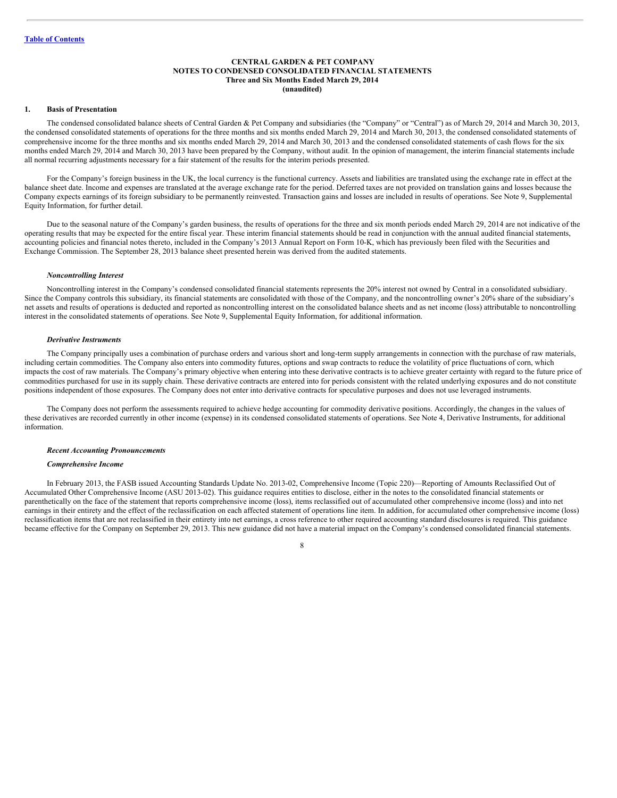#### <span id="page-7-0"></span>**CENTRAL GARDEN & PET COMPANY NOTES TO CONDENSED CONSOLIDATED FINANCIAL STATEMENTS Three and Six Months Ended March 29, 2014 (unaudited)**

#### **1. Basis of Presentation**

The condensed consolidated balance sheets of Central Garden & Pet Company and subsidiaries (the "Company" or "Central") as of March 29, 2014 and March 30, 2013, the condensed consolidated statements of operations for the three months and six months ended March 29, 2014 and March 30, 2013, the condensed consolidated statements of comprehensive income for the three months and six months ended March 29, 2014 and March 30, 2013 and the condensed consolidated statements of cash flows for the six months ended March 29, 2014 and March 30, 2013 have been prepared by the Company, without audit. In the opinion of management, the interim financial statements include all normal recurring adjustments necessary for a fair statement of the results for the interim periods presented.

For the Company's foreign business in the UK, the local currency is the functional currency. Assets and liabilities are translated using the exchange rate in effect at the balance sheet date. Income and expenses are translated at the average exchange rate for the period. Deferred taxes are not provided on translation gains and losses because the Company expects earnings of its foreign subsidiary to be permanently reinvested. Transaction gains and losses are included in results of operations. See Note 9, Supplemental Equity Information, for further detail.

Due to the seasonal nature of the Company's garden business, the results of operations for the three and six month periods ended March 29, 2014 are not indicative of the operating results that may be expected for the entire fiscal year. These interim financial statements should be read in conjunction with the annual audited financial statements, accounting policies and financial notes thereto, included in the Company's 2013 Annual Report on Form 10-K, which has previously been filed with the Securities and Exchange Commission. The September 28, 2013 balance sheet presented herein was derived from the audited statements.

#### *Noncontrolling Interest*

Noncontrolling interest in the Company's condensed consolidated financial statements represents the 20% interest not owned by Central in a consolidated subsidiary. Since the Company controls this subsidiary, its financial statements are consolidated with those of the Company, and the noncontrolling owner's 20% share of the subsidiary's net assets and results of operations is deducted and reported as noncontrolling interest on the consolidated balance sheets and as net income (loss) attributable to noncontrolling interest in the consolidated statements of operations. See Note 9, Supplemental Equity Information, for additional information.

#### *Derivative Instruments*

The Company principally uses a combination of purchase orders and various short and long-term supply arrangements in connection with the purchase of raw materials, including certain commodities. The Company also enters into commodity futures, options and swap contracts to reduce the volatility of price fluctuations of corn, which impacts the cost of raw materials. The Company's primary objective when entering into these derivative contracts is to achieve greater certainty with regard to the future price of commodities purchased for use in its supply chain. These derivative contracts are entered into for periods consistent with the related underlying exposures and do not constitute positions independent of those exposures. The Company does not enter into derivative contracts for speculative purposes and does not use leveraged instruments.

The Company does not perform the assessments required to achieve hedge accounting for commodity derivative positions. Accordingly, the changes in the values of these derivatives are recorded currently in other income (expense) in its condensed consolidated statements of operations. See Note 4, Derivative Instruments, for additional information.

#### *Recent Accounting Pronouncements*

#### *Comprehensive Income*

In February 2013, the FASB issued Accounting Standards Update No. 2013-02, Comprehensive Income (Topic 220)—Reporting of Amounts Reclassified Out of Accumulated Other Comprehensive Income (ASU 2013-02). This guidance requires entities to disclose, either in the notes to the consolidated financial statements or parenthetically on the face of the statement that reports comprehensive income (loss), items reclassified out of accumulated other comprehensive income (loss) and into net earnings in their entirety and the effect of the reclassification on each affected statement of operations line item. In addition, for accumulated other comprehensive income (loss) reclassification items that are not reclassified in their entirety into net earnings, a cross reference to other required accounting standard disclosures is required. This guidance became effective for the Company on September 29, 2013. This new guidance did not have a material impact on the Company's condensed consolidated financial statements.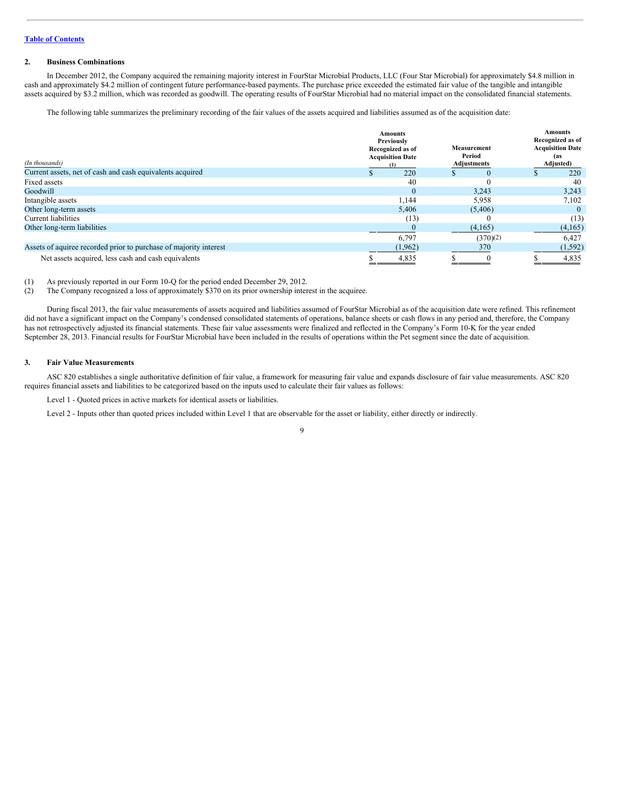#### **2. Business Combinations**

In December 2012, the Company acquired the remaining majority interest in FourStar Microbial Products, LLC (Four Star Microbial) for approximately \$4.8 million in cash and approximately \$4.2 million of contingent future performance-based payments. The purchase price exceeded the estimated fair value of the tangible and intangible assets acquired by \$3.2 million, which was recorded as goodwill. The operating results of FourStar Microbial had no material impact on the consolidated financial statements.

The following table summarizes the preliminary recording of the fair values of the assets acquired and liabilities assumed as of the acquisition date:

| (In thousands)                                                    | Amounts<br>Previously<br>Recognized as of<br><b>Acquisition Date</b> | <b>Measurement</b><br>Period<br><b>Adjustments</b> | <b>Amounts</b><br>Recognized as of<br><b>Acquisition Date</b><br>(as<br>Adjusted) |
|-------------------------------------------------------------------|----------------------------------------------------------------------|----------------------------------------------------|-----------------------------------------------------------------------------------|
| Current assets, net of cash and cash equivalents acquired         | $\Omega$<br>220                                                      | $\theta$                                           | 220                                                                               |
| Fixed assets                                                      | 40                                                                   |                                                    | 40                                                                                |
| Goodwill                                                          | $\Omega$                                                             | 3,243                                              | 3,243                                                                             |
| Intangible assets                                                 | 1,144                                                                | 5,958                                              | 7,102                                                                             |
| Other long-term assets                                            | 5,406                                                                | (5,406)                                            |                                                                                   |
| Current liabilities                                               | (13)                                                                 |                                                    | (13)                                                                              |
| Other long-term liabilities                                       |                                                                      | (4,165)                                            | (4,165)                                                                           |
|                                                                   | 6,797                                                                | (370)(2)                                           | 6,427                                                                             |
| Assets of aquiree recorded prior to purchase of majority interest | (1, 962)                                                             | 370                                                | (1, 592)                                                                          |
| Net assets acquired, less cash and cash equivalents               | 4,835                                                                | $\Omega$                                           | 4,835                                                                             |

(1) As previously reported in our Form 10-Q for the period ended December 29, 2012.

(2) The Company recognized a loss of approximately \$370 on its prior ownership interest in the acquiree.

During fiscal 2013, the fair value measurements of assets acquired and liabilities assumed of FourStar Microbial as of the acquisition date were refined. This refinement did not have a significant impact on the Company's condensed consolidated statements of operations, balance sheets or cash flows in any period and, therefore, the Company has not retrospectively adjusted its financial statements. These fair value assessments were finalized and reflected in the Company's Form 10-K for the year ended September 28, 2013. Financial results for FourStar Microbial have been included in the results of operations within the Pet segment since the date of acquisition.

#### **3. Fair Value Measurements**

ASC 820 establishes a single authoritative definition of fair value, a framework for measuring fair value and expands disclosure of fair value measurements. ASC 820 requires financial assets and liabilities to be categorized based on the inputs used to calculate their fair values as follows:

Level 1 - Quoted prices in active markets for identical assets or liabilities.

Level 2 - Inputs other than quoted prices included within Level 1 that are observable for the asset or liability, either directly or indirectly.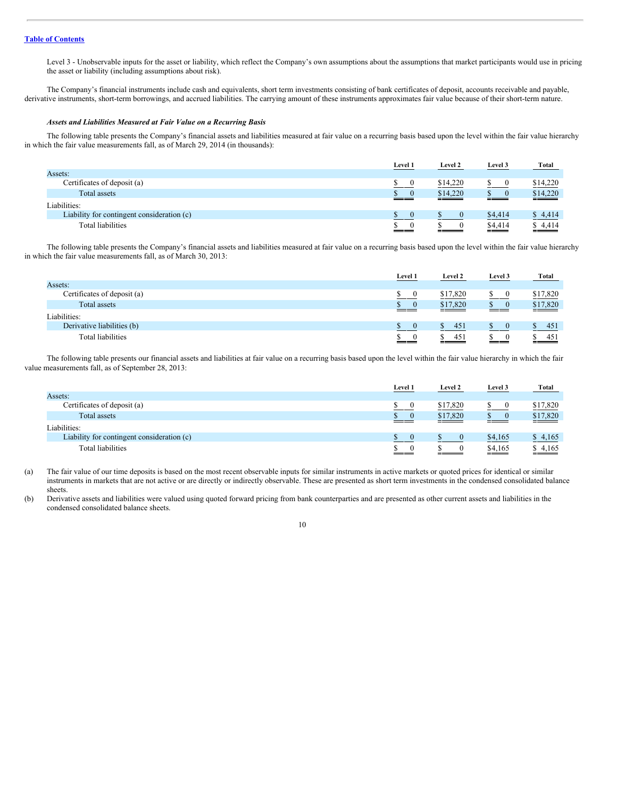Level 3 - Unobservable inputs for the asset or liability, which reflect the Company's own assumptions about the assumptions that market participants would use in pricing the asset or liability (including assumptions about risk).

The Company's financial instruments include cash and equivalents, short term investments consisting of bank certificates of deposit, accounts receivable and payable, derivative instruments, short-term borrowings, and accrued liabilities. The carrying amount of these instruments approximates fair value because of their short-term nature.

#### *Assets and Liabilities Measured at Fair Value on a Recurring Basis*

The following table presents the Company's financial assets and liabilities measured at fair value on a recurring basis based upon the level within the fair value hierarchy in which the fair value measurements fall, as of March 29, 2014 (in thousands):

|                                            | Level 1  | Level 2  | Level 3 | <b>Total</b>      |
|--------------------------------------------|----------|----------|---------|-------------------|
| Assets:                                    |          |          |         |                   |
| Certificates of deposit (a)                |          | \$14,220 |         | \$14,220          |
| Total assets                               | $\Omega$ | \$14,220 |         | \$14,220          |
| Liabilities:                               |          |          |         |                   |
| Liability for contingent consideration (c) |          |          | \$4,414 | \$4,414           |
| <b>Total liabilities</b>                   | __       |          | \$4,414 | $\frac{$4,414}{}$ |

The following table presents the Company's financial assets and liabilities measured at fair value on a recurring basis based upon the level within the fair value hierarchy in which the fair value measurements fall, as of March 30, 2013:

|                             | <b>Level 1</b> | Level 2  | Level 3 | <b>Total</b>                    |
|-----------------------------|----------------|----------|---------|---------------------------------|
| Assets:                     |                |          |         |                                 |
| Certificates of deposit (a) |                | \$17,820 |         | \$17,820                        |
| Total assets                | $\frac{s}{s}$  | \$17,820 | ъ       | \$17,820<br><u>and the same</u> |
| Liabilities:                |                |          |         |                                 |
| Derivative liabilities (b)  |                | 45       |         | 451                             |
| <b>Total liabilities</b>    | S.             | 45       |         | 451                             |

The following table presents our financial assets and liabilities at fair value on a recurring basis based upon the level within the fair value hierarchy in which the fair value measurements fall, as of September 28, 2013:

|                                            | Level 1  | Level 2  | Level 3 | <b>Total</b>      |
|--------------------------------------------|----------|----------|---------|-------------------|
| Assets:                                    |          |          |         |                   |
| Certificates of deposit (a)                | $\theta$ | \$17,820 |         | \$17,820          |
| Total assets                               | $\Omega$ | \$17,820 |         | \$17,820          |
| Liabilities:                               |          |          |         |                   |
| Liability for contingent consideration (c) | $\Omega$ |          | \$4,165 | \$4,165           |
| Total liabilities                          |          |          | \$4,165 | $\frac{$4,165}{}$ |

(a) The fair value of our time deposits is based on the most recent observable inputs for similar instruments in active markets or quoted prices for identical or similar instruments in markets that are not active or are directly or indirectly observable. These are presented as short term investments in the condensed consolidated balance sheets.

(b) Derivative assets and liabilities were valued using quoted forward pricing from bank counterparties and are presented as other current assets and liabilities in the condensed consolidated balance sheets.

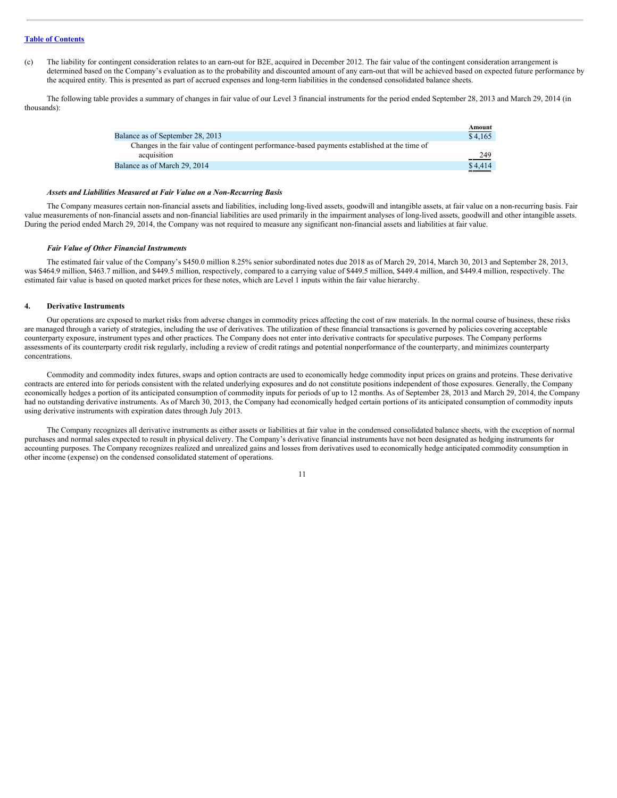(c) The liability for contingent consideration relates to an earn-out for B2E, acquired in December 2012. The fair value of the contingent consideration arrangement is determined based on the Company's evaluation as to the probability and discounted amount of any earn-out that will be achieved based on expected future performance by the acquired entity. This is presented as part of accrued expenses and long-term liabilities in the condensed consolidated balance sheets.

The following table provides a summary of changes in fair value of our Level 3 financial instruments for the period ended September 28, 2013 and March 29, 2014 (in thousands):

|                                                                                               | Amount  |
|-----------------------------------------------------------------------------------------------|---------|
| Balance as of September 28, 2013                                                              | \$4.165 |
| Changes in the fair value of contingent performance-based payments established at the time of |         |
| acquisition                                                                                   | 249     |
| Balance as of March 29, 2014                                                                  | \$4,414 |
|                                                                                               |         |

#### *Assets and Liabilities Measured at Fair Value on a Non-Recurring Basis*

The Company measures certain non-financial assets and liabilities, including long-lived assets, goodwill and intangible assets, at fair value on a non-recurring basis. Fair value measurements of non-financial assets and non-financial liabilities are used primarily in the impairment analyses of long-lived assets, goodwill and other intangible assets. During the period ended March 29, 2014, the Company was not required to measure any significant non-financial assets and liabilities at fair value.

#### *Fair Value of Other Financial Instruments*

The estimated fair value of the Company's \$450.0 million 8.25% senior subordinated notes due 2018 as of March 29, 2014, March 30, 2013 and September 28, 2013, was \$464.9 million, \$463.7 million, and \$449.5 million, respectively, compared to a carrying value of \$449.5 million, \$449.4 million, and \$449.4 million, respectively. The estimated fair value is based on quoted market prices for these notes, which are Level 1 inputs within the fair value hierarchy.

#### **4. Derivative Instruments**

Our operations are exposed to market risks from adverse changes in commodity prices affecting the cost of raw materials. In the normal course of business, these risks are managed through a variety of strategies, including the use of derivatives. The utilization of these financial transactions is governed by policies covering acceptable counterparty exposure, instrument types and other practices. The Company does not enter into derivative contracts for speculative purposes. The Company performs assessments of its counterparty credit risk regularly, including a review of credit ratings and potential nonperformance of the counterparty, and minimizes counterparty concentrations.

Commodity and commodity index futures, swaps and option contracts are used to economically hedge commodity input prices on grains and proteins. These derivative contracts are entered into for periods consistent with the related underlying exposures and do not constitute positions independent of those exposures. Generally, the Company economically hedges a portion of its anticipated consumption of commodity inputs for periods of up to 12 months. As of September 28, 2013 and March 29, 2014, the Company had no outstanding derivative instruments. As of March 30, 2013, the Company had economically hedged certain portions of its anticipated consumption of commodity inputs using derivative instruments with expiration dates through July 2013.

The Company recognizes all derivative instruments as either assets or liabilities at fair value in the condensed consolidated balance sheets, with the exception of normal purchases and normal sales expected to result in physical delivery. The Company's derivative financial instruments have not been designated as hedging instruments for accounting purposes. The Company recognizes realized and unrealized gains and losses from derivatives used to economically hedge anticipated commodity consumption in other income (expense) on the condensed consolidated statement of operations.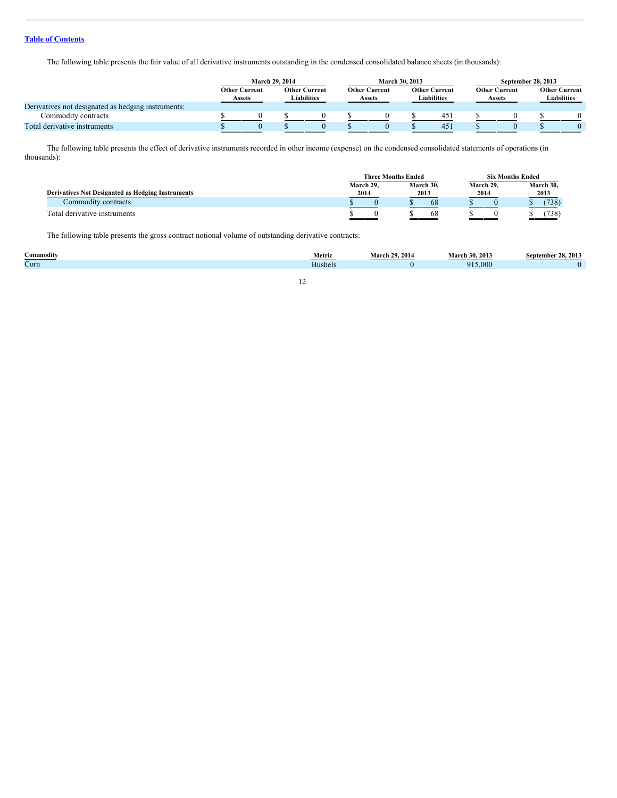The following table presents the fair value of all derivative instruments outstanding in the condensed consolidated balance sheets (in thousands):

|                                                    |                                       | March 29, 2014 |                                     |  |                                       |  | March 30, 2013                      |     | September 28, 2013                    |  |                                            |  |  |
|----------------------------------------------------|---------------------------------------|----------------|-------------------------------------|--|---------------------------------------|--|-------------------------------------|-----|---------------------------------------|--|--------------------------------------------|--|--|
|                                                    | <b>Other Current</b><br><b>Assets</b> |                | <b>Other Current</b><br>Liabilities |  | <b>Other Current</b><br><b>Assets</b> |  | <b>Other Current</b><br>Liabilities |     | <b>Other Current</b><br><b>Assets</b> |  | <b>Other Current</b><br><b>Liabilities</b> |  |  |
| Derivatives not designated as hedging instruments: |                                       |                |                                     |  |                                       |  |                                     |     |                                       |  |                                            |  |  |
| Commodity contracts                                |                                       |                |                                     |  |                                       |  |                                     | 45) |                                       |  |                                            |  |  |
| Total derivative instruments                       |                                       |                |                                     |  |                                       |  |                                     | 451 |                                       |  |                                            |  |  |

The following table presents the effect of derivative instruments recorded in other income (expense) on the condensed consolidated statements of operations (in thousands):

|                                                          | <b>Three Months Ended</b> |           | <b>Six Months Ended</b> |           |  |  |  |  |
|----------------------------------------------------------|---------------------------|-----------|-------------------------|-----------|--|--|--|--|
|                                                          | March 29.                 | March 30, | March 29.               | March 30, |  |  |  |  |
| <b>Derivatives Not Designated as Hedging Instruments</b> | 2014                      | 2013      | 2014                    | 2013      |  |  |  |  |
| Commodity contracts                                      |                           | 68        |                         | (738)     |  |  |  |  |
| Total derivative instruments                             |                           | 68        |                         | 738       |  |  |  |  |

The following table presents the gross contract notional volume of outstanding derivative contracts:

| -<br>`ommoditv | Metric       | 2014<br>20<br>.vlar<br>the contract of the contract of the | March.<br>201.<br>-30. | 2013<br>າດ<br>→*ember ⊥ |
|----------------|--------------|------------------------------------------------------------|------------------------|-------------------------|
| $\sim$<br>Corn | -<br>Bushel. |                                                            | 915,000                |                         |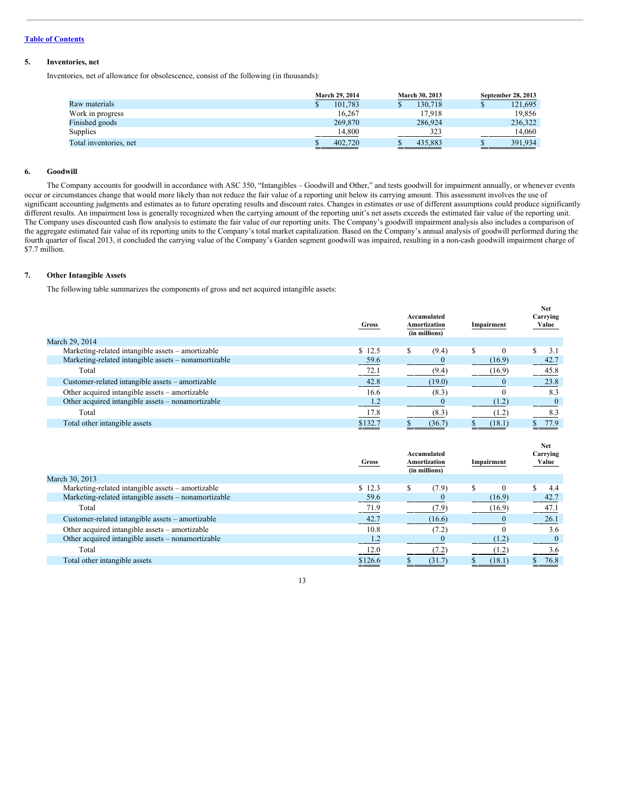#### **5. Inventories, net**

Inventories, net of allowance for obsolescence, consist of the following (in thousands):

|                        | <b>March 29, 2014</b> | <b>March 30, 2013</b> | September 28, 2013 |
|------------------------|-----------------------|-----------------------|--------------------|
| Raw materials          | 101.783               | 130.718               | 121,695            |
| Work in progress       | 16.267                | 17.918                | 19.856             |
| Finished goods         | 269,870               | 286,924               | 236,322            |
| Supplies               | 14.800                | 323                   | 14.060             |
| Total inventories, net | 402,720               | 435,883               | 391.934            |

#### **6. Goodwill**

The Company accounts for goodwill in accordance with ASC 350, "Intangibles – Goodwill and Other," and tests goodwill for impairment annually, or whenever events occur or circumstances change that would more likely than not reduce the fair value of a reporting unit below its carrying amount. This assessment involves the use of significant accounting judgments and estimates as to future operating results and discount rates. Changes in estimates or use of different assumptions could produce significantly different results. An impairment loss is generally recognized when the carrying amount of the reporting unit's net assets exceeds the estimated fair value of the reporting unit. The Company uses discounted cash flow analysis to estimate the fair value of our reporting units. The Company's goodwill impairment analysis also includes a comparison of the aggregate estimated fair value of its reporting units to the Company's total market capitalization. Based on the Company's annual analysis of goodwill performed during the fourth quarter of fiscal 2013, it concluded the carrying value of the Company's Garden segment goodwill was impaired, resulting in a non-cash goodwill impairment charge of \$7.7 million.

#### **7. Other Intangible Assets**

The following table summarizes the components of gross and net acquired intangible assets:

|                                                      | Gross   | Accumulated<br>Amortization<br>(in millions) | Impairment | <b>Net</b><br>Carrying<br>Value |
|------------------------------------------------------|---------|----------------------------------------------|------------|---------------------------------|
| March 29, 2014                                       |         |                                              |            |                                 |
| Marketing-related intangible assets – amortizable    | \$12.5  | (9.4)<br>S                                   |            | 3.1                             |
| Marketing-related intangible assets – nonamortizable | 59.6    |                                              | (16.9)     | 42.7                            |
| Total                                                | 72.1    | (9.4)                                        | (16.9)     | 45.8                            |
| Customer-related intangible assets – amortizable     | 42.8    | (19.0)                                       |            | 23.8                            |
| Other acquired intangible assets – amortizable       | 16.6    | (8.3)                                        |            | 8.3                             |
| Other acquired intangible assets – nonamortizable    | 1.2     |                                              | (1.2)      |                                 |
| Total                                                | 17.8    | (8.3)                                        | (1.2)      | 8.3                             |
| Total other intangible assets                        | \$132.7 | (36.7)                                       | (18.1)     | 77.9                            |

|                                                      | Gross           | Accumulated<br>Amortization<br>(in millions) | Impairment | <b>Net</b><br>Carrying<br>Value |
|------------------------------------------------------|-----------------|----------------------------------------------|------------|---------------------------------|
| March 30, 2013                                       |                 |                                              |            |                                 |
| Marketing-related intangible assets – amortizable    | \$12.3          | (7.9)                                        |            | 4.4                             |
| Marketing-related intangible assets – nonamortizable | 59.6            |                                              | (16.9)     | 42.7                            |
| Total                                                | 71.9            | (7.9)                                        | (16.9)     | 47.1                            |
| Customer-related intangible assets – amortizable     | 42.7            | (16.6)                                       |            | 26.1                            |
| Other acquired intangible assets – amortizable       | 10.8            | (7.2)                                        |            | 3.6                             |
| Other acquired intangible assets – nonamortizable    | 1.4             |                                              | (1.2)      |                                 |
| Total                                                | 12.0            | 7.2                                          | (1.2)      | 3.6                             |
| Total other intangible assets                        | \$126.6<br>____ | (31.7)                                       | (18.1)     | 76.8                            |
|                                                      |                 |                                              |            |                                 |

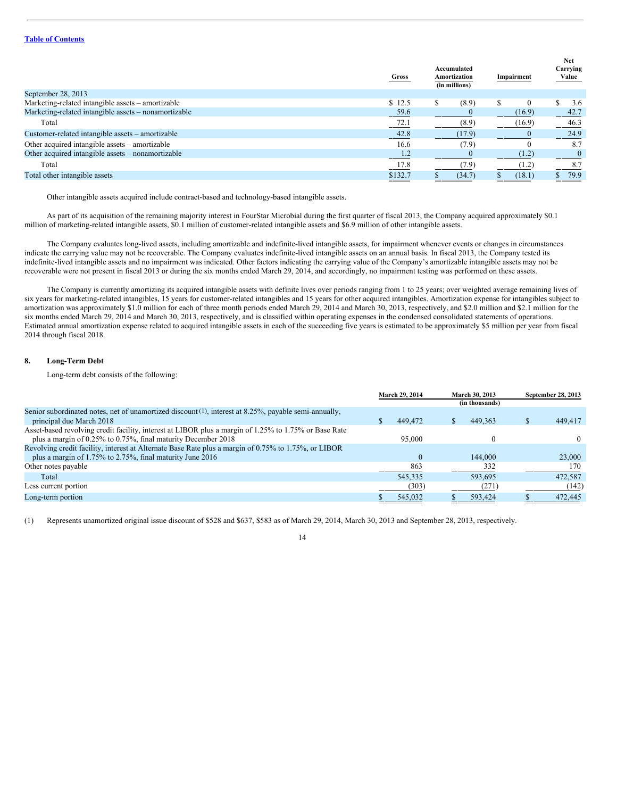|                                                      | Gross           | Accumulated<br>Amortization<br>(in millions) | Impairment | <b>Net</b><br>Carrying<br>Value |
|------------------------------------------------------|-----------------|----------------------------------------------|------------|---------------------------------|
| September 28, 2013                                   |                 |                                              |            |                                 |
| Marketing-related intangible assets - amortizable    | \$12.5          | (8.9)                                        | $\Omega$   | 3.6                             |
| Marketing-related intangible assets – nonamortizable | 59.6            |                                              | (16.9)     | 42.7                            |
| Total                                                | $-72.1$         | (8.9)                                        | (16.9)     | 46.3                            |
| Customer-related intangible assets – amortizable     | 42.8            | (17.9)                                       |            | 24.9                            |
| Other acquired intangible assets – amortizable       | 16.6            | (7.9)                                        | $\theta$   | 8.7                             |
| Other acquired intangible assets – nonamortizable    | 1.2             |                                              | (1.2)      |                                 |
| Total                                                | 17.8            | (7.9)                                        | (1.2)      | 8.7                             |
| Total other intangible assets                        | \$132.7<br>---- | (34.7)                                       | (18.1)     | 79.9                            |
|                                                      |                 |                                              |            |                                 |

Other intangible assets acquired include contract-based and technology-based intangible assets.

As part of its acquisition of the remaining majority interest in FourStar Microbial during the first quarter of fiscal 2013, the Company acquired approximately \$0.1 million of marketing-related intangible assets, \$0.1 million of customer-related intangible assets and \$6.9 million of other intangible assets.

The Company evaluates long-lived assets, including amortizable and indefinite-lived intangible assets, for impairment whenever events or changes in circumstances indicate the carrying value may not be recoverable. The Company evaluates indefinite-lived intangible assets on an annual basis. In fiscal 2013, the Company tested its indefinite-lived intangible assets and no impairment was indicated. Other factors indicating the carrying value of the Company's amortizable intangible assets may not be recoverable were not present in fiscal 2013 or during the six months ended March 29, 2014, and accordingly, no impairment testing was performed on these assets.

The Company is currently amortizing its acquired intangible assets with definite lives over periods ranging from 1 to 25 years; over weighted average remaining lives of six years for marketing-related intangibles, 15 years for customer-related intangibles and 15 years for other acquired intangibles. Amortization expense for intangibles subject to amortization was approximately \$1.0 million for each of three month periods ended March 29, 2014 and March 30, 2013, respectively, and \$2.0 million and \$2.1 million for the six months ended March 29, 2014 and March 30, 2013, respectively, and is classified within operating expenses in the condensed consolidated statements of operations. Estimated annual amortization expense related to acquired intangible assets in each of the succeeding five years is estimated to be approximately \$5 million per year from fiscal 2014 through fiscal 2018.

#### **8. Long-Term Debt**

Long-term debt consists of the following:

|                                                                                                          | <b>March 29, 2014</b><br><b>March 30, 2013</b> |         |  |                | September 28, 2013 |         |  |
|----------------------------------------------------------------------------------------------------------|------------------------------------------------|---------|--|----------------|--------------------|---------|--|
|                                                                                                          |                                                |         |  | (in thousands) |                    |         |  |
| Senior subordinated notes, net of unamortized discount $(1)$ , interest at 8.25%, payable semi-annually, |                                                |         |  |                |                    |         |  |
| principal due March 2018                                                                                 |                                                | 449,472 |  | 449.363        |                    | 449,417 |  |
| Asset-based revolving credit facility, interest at LIBOR plus a margin of 1.25% to 1.75% or Base Rate    |                                                |         |  |                |                    |         |  |
| plus a margin of 0.25% to 0.75%, final maturity December 2018                                            |                                                | 95,000  |  |                |                    | 0       |  |
| Revolving credit facility, interest at Alternate Base Rate plus a margin of 0.75% to 1.75%, or LIBOR     |                                                |         |  |                |                    |         |  |
| plus a margin of $1.75\%$ to $2.75\%$ , final maturity June 2016                                         |                                                |         |  | 144,000        |                    | 23,000  |  |
| Other notes payable                                                                                      |                                                | 863     |  | 332            |                    | 170     |  |
| Total                                                                                                    |                                                | 545,335 |  | 593.695        |                    | 472.587 |  |
| Less current portion                                                                                     |                                                | (303)   |  | (271)          |                    | (142)   |  |
| Long-term portion                                                                                        |                                                | 545,032 |  | 593,424        |                    | 472,445 |  |

(1) Represents unamortized original issue discount of \$528 and \$637, \$583 as of March 29, 2014, March 30, 2013 and September 28, 2013, respectively.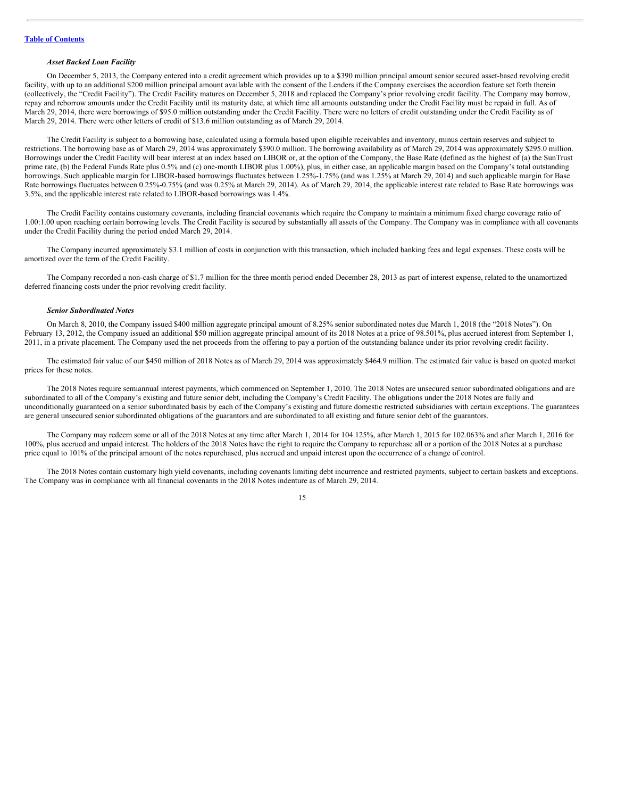#### *Asset Backed Loan Facility*

On December 5, 2013, the Company entered into a credit agreement which provides up to a \$390 million principal amount senior secured asset-based revolving credit facility, with up to an additional \$200 million principal amount available with the consent of the Lenders if the Company exercises the accordion feature set forth therein (collectively, the "Credit Facility"). The Credit Facility matures on December 5, 2018 and replaced the Company's prior revolving credit facility. The Company may borrow, repay and reborrow amounts under the Credit Facility until its maturity date, at which time all amounts outstanding under the Credit Facility must be repaid in full. As of March 29, 2014, there were borrowings of \$95.0 million outstanding under the Credit Facility. There were no letters of credit outstanding under the Credit Facility as of March 29, 2014. There were other letters of credit of \$13.6 million outstanding as of March 29, 2014.

The Credit Facility is subject to a borrowing base, calculated using a formula based upon eligible receivables and inventory, minus certain reserves and subject to restrictions. The borrowing base as of March 29, 2014 was approximately \$390.0 million. The borrowing availability as of March 29, 2014 was approximately \$295.0 million. Borrowings under the Credit Facility will bear interest at an index based on LIBOR or, at the option of the Company, the Base Rate (defined as the highest of (a) the SunTrust prime rate, (b) the Federal Funds Rate plus 0.5% and (c) one-month LIBOR plus 1.00%), plus, in either case, an applicable margin based on the Company's total outstanding borrowings. Such applicable margin for LIBOR-based borrowings fluctuates between 1.25%-1.75% (and was 1.25% at March 29, 2014) and such applicable margin for Base Rate borrowings fluctuates between 0.25%-0.75% (and was 0.25% at March 29, 2014). As of March 29, 2014, the applicable interest rate related to Base Rate borrowings was 3.5%, and the applicable interest rate related to LIBOR-based borrowings was 1.4%.

The Credit Facility contains customary covenants, including financial covenants which require the Company to maintain a minimum fixed charge coverage ratio of 1.00:1.00 upon reaching certain borrowing levels. The Credit Facility is secured by substantially all assets of the Company. The Company was in compliance with all covenants under the Credit Facility during the period ended March 29, 2014.

The Company incurred approximately \$3.1 million of costs in conjunction with this transaction, which included banking fees and legal expenses. These costs will be amortized over the term of the Credit Facility.

The Company recorded a non-cash charge of \$1.7 million for the three month period ended December 28, 2013 as part of interest expense, related to the unamortized deferred financing costs under the prior revolving credit facility.

#### *Senior Subordinated Notes*

On March 8, 2010, the Company issued \$400 million aggregate principal amount of 8.25% senior subordinated notes due March 1, 2018 (the "2018 Notes"). On February 13, 2012, the Company issued an additional \$50 million aggregate principal amount of its 2018 Notes at a price of 98.501%, plus accrued interest from September 1, 2011, in a private placement. The Company used the net proceeds from the offering to pay a portion of the outstanding balance under its prior revolving credit facility.

The estimated fair value of our \$450 million of 2018 Notes as of March 29, 2014 was approximately \$464.9 million. The estimated fair value is based on quoted market prices for these notes.

The 2018 Notes require semiannual interest payments, which commenced on September 1, 2010. The 2018 Notes are unsecured senior subordinated obligations and are subordinated to all of the Company's existing and future senior debt, including the Company's Credit Facility. The obligations under the 2018 Notes are fully and unconditionally guaranteed on a senior subordinated basis by each of the Company's existing and future domestic restricted subsidiaries with certain exceptions. The guarantees are general unsecured senior subordinated obligations of the guarantors and are subordinated to all existing and future senior debt of the guarantors.

The Company may redeem some or all of the 2018 Notes at any time after March 1, 2014 for 104.125%, after March 1, 2015 for 102.063% and after March 1, 2016 for 100%, plus accrued and unpaid interest. The holders of the 2018 Notes have the right to require the Company to repurchase all or a portion of the 2018 Notes at a purchase price equal to 101% of the principal amount of the notes repurchased, plus accrued and unpaid interest upon the occurrence of a change of control.

The 2018 Notes contain customary high yield covenants, including covenants limiting debt incurrence and restricted payments, subject to certain baskets and exceptions. The Company was in compliance with all financial covenants in the 2018 Notes indenture as of March 29, 2014.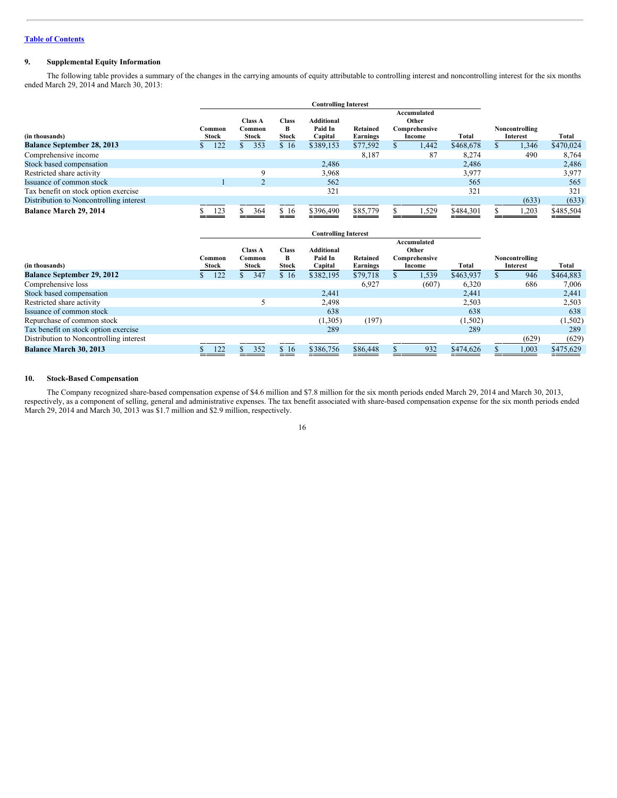#### **9. Supplemental Equity Information**

The following table provides a summary of the changes in the carrying amounts of equity attributable to controlling interest and noncontrolling interest for the six months ended March 29, 2014 and March 30, 2013:

|                                         | <b>Controlling Interest</b> |                                   |                                   |                                         |                                                                                         |  |                            |           |  |       |           |
|-----------------------------------------|-----------------------------|-----------------------------------|-----------------------------------|-----------------------------------------|-----------------------------------------------------------------------------------------|--|----------------------------|-----------|--|-------|-----------|
| (in thousands)                          | Common<br>Stock             | <b>Class A</b><br>Common<br>Stock | <b>Class</b><br>в<br><b>Stock</b> | <b>Additional</b><br>Paid In<br>Capital | Accumulated<br>Other<br>Retained<br>Comprehensive<br><b>Earnings</b><br>Total<br>Income |  | Noncontrolling<br>Interest |           |  |       | Total     |
| <b>Balance September 28, 2013</b>       | 122                         | 353                               | \$16                              | \$389,153                               | \$77,592                                                                                |  | 1,442                      | \$468,678 |  | .,346 | \$470,024 |
| Comprehensive income                    |                             |                                   |                                   |                                         | 8,187                                                                                   |  | 87                         | 8,274     |  | 490   | 8,764     |
| Stock based compensation                |                             |                                   |                                   | 2,486                                   |                                                                                         |  |                            | 2,486     |  |       | 2,486     |
| Restricted share activity               |                             | a                                 |                                   | 3,968                                   |                                                                                         |  |                            | 3,977     |  |       | 3,977     |
| Issuance of common stock                |                             |                                   |                                   | 562                                     |                                                                                         |  |                            | 565       |  |       | 565       |
| Tax benefit on stock option exercise    |                             |                                   |                                   | 321                                     |                                                                                         |  |                            | 321       |  |       | 321       |
| Distribution to Noncontrolling interest |                             |                                   |                                   |                                         |                                                                                         |  |                            |           |  | (633) | (633)     |
| Balance March 29, 2014                  | 123                         | 364                               | \$16                              | \$396,490                               | \$85,779                                                                                |  | 1,529                      | \$484,301 |  | ,203  | \$485,504 |

|                                         | <b>Controlling Interest</b> |                |     |              |                   |                 |  |               |           |                |           |
|-----------------------------------------|-----------------------------|----------------|-----|--------------|-------------------|-----------------|--|---------------|-----------|----------------|-----------|
|                                         |                             |                |     |              |                   |                 |  | Accumulated   |           |                |           |
|                                         |                             | <b>Class A</b> |     | <b>Class</b> | <b>Additional</b> |                 |  | Other         |           |                |           |
|                                         | Common                      | Common         |     | B            | Paid In           | Retained        |  | Comprehensive |           | Noncontrolling |           |
| (in thousands)                          | Stock                       | Stock          |     | <b>Stock</b> | Capital           | <b>Earnings</b> |  | Income        | Total     | Interest       | Total     |
| <b>Balance September 29, 2012</b>       | 122                         |                | 347 | \$16         | \$382,195         | \$79,718        |  | 1,539         | \$463,937 | 946            | \$464,883 |
| Comprehensive loss                      |                             |                |     |              |                   | 6,927           |  | (607)         | 6,320     | 686            | 7,006     |
| Stock based compensation                |                             |                |     |              | 2,441             |                 |  |               | 2,441     |                | 2,441     |
| Restricted share activity               |                             |                |     |              | 2,498             |                 |  |               | 2,503     |                | 2,503     |
| Issuance of common stock                |                             |                |     |              | 638               |                 |  |               | 638       |                | 638       |
| Repurchase of common stock              |                             |                |     |              | (1,305)           | (197)           |  |               | (1,502)   |                | (1, 502)  |
| Tax benefit on stock option exercise    |                             |                |     |              | 289               |                 |  |               | 289       |                | 289       |
| Distribution to Noncontrolling interest |                             |                |     |              |                   |                 |  |               |           | (629)          | (629)     |
| <b>Balance March 30, 2013</b>           | 122                         |                | 352 | \$16         | \$386,756         | \$86,448        |  | 932           | \$474,626 | 1,003          | \$475,629 |

#### **10. Stock-Based Compensation**

The Company recognized share-based compensation expense of \$4.6 million and \$7.8 million for the six month periods ended March 29, 2014 and March 30, 2013, respectively, as a component of selling, general and administrative expenses. The tax benefit associated with share-based compensation expense for the six month periods ended March 29, 2014 and March 30, 2013 was \$1.7 million and \$2.9 million, respectively.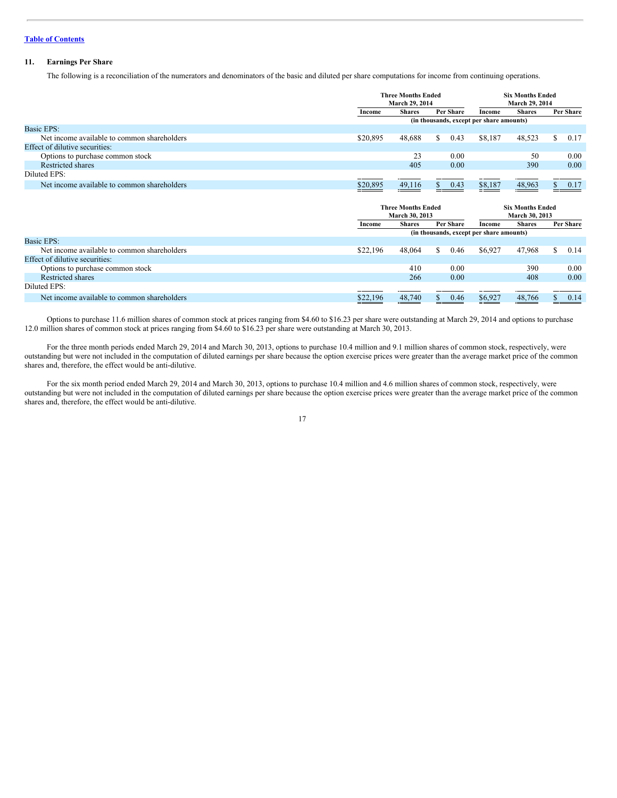#### **11. Earnings Per Share**

The following is a reconciliation of the numerators and denominators of the basic and diluted per share computations for income from continuing operations.

|                                             |          | <b>Three Months Ended</b><br>March 29, 2014 |           |      | <b>Six Months Ended</b><br>March 29, 2014 |               |  |           |  |  |  |  |
|---------------------------------------------|----------|---------------------------------------------|-----------|------|-------------------------------------------|---------------|--|-----------|--|--|--|--|
|                                             | Income   | <b>Shares</b>                               | Per Share |      | Income                                    | <b>Shares</b> |  | Per Share |  |  |  |  |
|                                             |          | (in thousands, except per share amounts)    |           |      |                                           |               |  |           |  |  |  |  |
| <b>Basic EPS:</b>                           |          |                                             |           |      |                                           |               |  |           |  |  |  |  |
| Net income available to common shareholders | \$20,895 | 48.688                                      | S.        | 0.43 | \$8,187                                   | 48,523        |  | 0.17      |  |  |  |  |
| Effect of dilutive securities:              |          |                                             |           |      |                                           |               |  |           |  |  |  |  |
| Options to purchase common stock            |          | 23                                          |           | 0.00 |                                           | 50            |  | 0.00      |  |  |  |  |
| Restricted shares                           |          | 405                                         |           | 0.00 |                                           | 390           |  | 0.00      |  |  |  |  |
| Diluted EPS:                                |          |                                             |           |      |                                           |               |  |           |  |  |  |  |
| Net income available to common shareholders | \$20,895 | 49,116                                      |           | 0.43 | \$8,187                                   | 48,963        |  | 0.17      |  |  |  |  |

|                                             |          | <b>Three Months Ended</b><br>March 30, 2013 |    |           | <b>Six Months Ended</b><br><b>March 30, 2013</b> |               |           |      |
|---------------------------------------------|----------|---------------------------------------------|----|-----------|--------------------------------------------------|---------------|-----------|------|
|                                             | Income   | <b>Shares</b>                               |    | Per Share | Income                                           | <b>Shares</b> | Per Share |      |
|                                             |          |                                             |    |           | (in thousands, except per share amounts)         |               |           |      |
| <b>Basic EPS:</b>                           |          |                                             |    |           |                                                  |               |           |      |
| Net income available to common shareholders | \$22,196 | 48,064                                      | S. | 0.46      | \$6,927                                          | 47,968        | S.        | 0.14 |
| Effect of dilutive securities:              |          |                                             |    |           |                                                  |               |           |      |
| Options to purchase common stock            |          | 410                                         |    | 0.00      |                                                  | 390           |           | 0.00 |
| Restricted shares                           |          | 266                                         |    | 0.00      |                                                  | 408           |           | 0.00 |
| Diluted EPS:                                |          |                                             |    |           |                                                  |               |           |      |
| Net income available to common shareholders | \$22,196 | 48,740                                      |    | 0.46      | \$6,927                                          | 48,766        |           | 0.14 |

Options to purchase 11.6 million shares of common stock at prices ranging from \$4.60 to \$16.23 per share were outstanding at March 29, 2014 and options to purchase 12.0 million shares of common stock at prices ranging from \$4.60 to \$16.23 per share were outstanding at March 30, 2013.

For the three month periods ended March 29, 2014 and March 30, 2013, options to purchase 10.4 million and 9.1 million shares of common stock, respectively, were outstanding but were not included in the computation of diluted earnings per share because the option exercise prices were greater than the average market price of the common shares and, therefore, the effect would be anti-dilutive.

For the six month period ended March 29, 2014 and March 30, 2013, options to purchase 10.4 million and 4.6 million shares of common stock, respectively, were outstanding but were not included in the computation of diluted earnings per share because the option exercise prices were greater than the average market price of the common shares and, therefore, the effect would be anti-dilutive.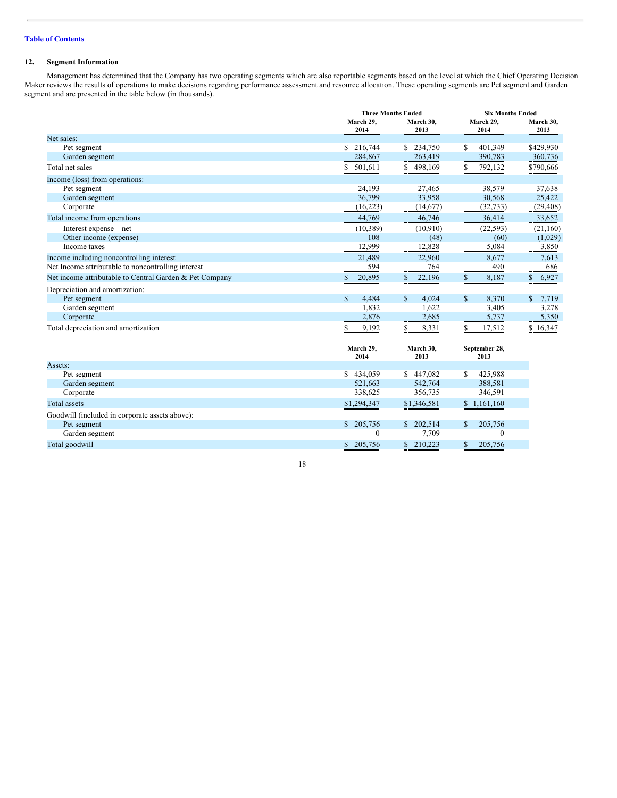#### **12. Segment Information**

Management has determined that the Company has two operating segments which are also reportable segments based on the level at which the Chief Operating Decision Maker reviews the results of operations to make decisions regarding performance assessment and resource allocation. These operating segments are Pet segment and Garden segment and are presented in the table below (in thousands).

|                                                         | <b>Three Months Ended</b> |                     | <b>Six Months Ended</b> |                   |
|---------------------------------------------------------|---------------------------|---------------------|-------------------------|-------------------|
|                                                         | March 29,<br>2014         | March 30.<br>2013   | March 29,<br>2014       | March 30,<br>2013 |
| Net sales:                                              |                           |                     |                         |                   |
| Pet segment                                             | 216,744<br>S.             | \$234,750           | 401,349<br>S            | \$429,930         |
| Garden segment                                          | 284,867                   | 263,419             | 390,783                 | 360,736           |
| Total net sales                                         | S<br>501,611              | \$<br>498,169<br>÷. | S<br>792,132            | \$790,666         |
| Income (loss) from operations:                          |                           |                     |                         |                   |
| Pet segment                                             | 24,193                    | 27,465              | 38,579                  | 37,638            |
| Garden segment                                          | 36,799                    | 33,958              | 30,568                  | 25,422            |
| Corporate                                               | (16, 223)                 | (14,677)            | (32, 733)               | (29, 408)         |
| Total income from operations                            | 44,769                    | 46,746              | 36,414                  | 33,652            |
| Interest expense – net                                  | (10, 389)                 | (10,910)            | (22, 593)               | (21,160)          |
| Other income (expense)                                  | 108                       | (48)                | (60)                    | (1,029)           |
| Income taxes                                            | 12,999                    | 12,828              | 5,084                   | 3,850             |
| Income including noncontrolling interest                | 21,489                    | 22,960              | 8,677                   | 7,613             |
| Net Income attributable to noncontrolling interest      | 594                       | 764                 | 490                     | 686               |
| Net income attributable to Central Garden & Pet Company | 20,895                    | 22,196              | \$<br>8,187             | 6,927<br>S.       |
| Depreciation and amortization:                          |                           |                     |                         |                   |
| Pet segment                                             | $\mathbf{s}$<br>4,484     | \$<br>4.024         | $\mathbb{S}$<br>8,370   | 7,719             |
| Garden segment                                          | 1,832                     | 1,622               | 3,405                   | 3,278             |
| Corporate                                               | 2,876                     | 2,685               | 5,737                   | 5,350             |
| Total depreciation and amortization                     | 9,192<br>S                | \$<br>8,331         | S<br>17,512             | \$16,347          |
|                                                         | March 29,<br>2014         | March 30,<br>2013   | September 28,<br>2013   |                   |
| Assets:                                                 |                           |                     |                         |                   |
| Pet segment                                             | \$434,059                 | \$447,082           | S<br>425,988            |                   |
| Garden segment                                          | 521.663                   | 542,764             | 388,581                 |                   |
| Corporate                                               | 338,625                   | 356,735             | 346,591                 |                   |
| <b>Total</b> assets                                     | \$1,294,347               | \$1,346,581         | \$1,161,160             |                   |
| Goodwill (included in corporate assets above):          |                           |                     |                         |                   |
| Pet segment                                             | 205,756<br>$\mathbb{S}$   | \$202,514           | 205,756<br>\$           |                   |
| Garden segment                                          | $\boldsymbol{0}$          | 7,709               | $\theta$                |                   |
| Total goodwill                                          | 205,756<br>$\mathbb{S}$   | \$210,223           | \$<br>205,756           |                   |

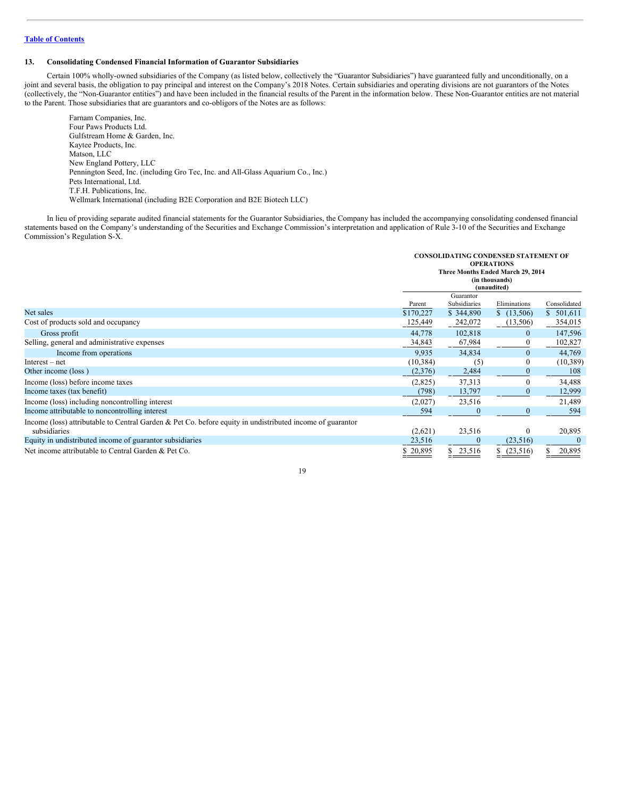#### **13. Consolidating Condensed Financial Information of Guarantor Subsidiaries**

Certain 100% wholly-owned subsidiaries of the Company (as listed below, collectively the "Guarantor Subsidiaries") have guaranteed fully and unconditionally, on a joint and several basis, the obligation to pay principal and interest on the Company's 2018 Notes. Certain subsidiaries and operating divisions are not guarantors of the Notes (collectively, the "Non-Guarantor entities") and have been included in the financial results of the Parent in the information below. These Non-Guarantor entities are not material to the Parent. Those subsidiaries that are guarantors and co-obligors of the Notes are as follows:

Farnam Companies, Inc. Four Paws Products Ltd. Gulfstream Home & Garden, Inc. Kaytee Products, Inc. Matson, LLC New England Pottery, LLC Pennington Seed, Inc. (including Gro Tec, Inc. and All-Glass Aquarium Co., Inc.) Pets International, Ltd. T.F.H. Publications, Inc. Wellmark International (including B2E Corporation and B2E Biotech LLC)

In lieu of providing separate audited financial statements for the Guarantor Subsidiaries, the Company has included the accompanying consolidating condensed financial statements based on the Company's understanding of the Securities and Exchange Commission's interpretation and application of Rule 3-10 of the Securities and Exchange Commission's Regulation S-X.

|                                                                                                                           | <b>CONSOLIDATING CONDENSED STATEMENT OF</b><br><b>OPERATIONS</b><br>Three Months Ended March 29, 2014<br>(in thousands)<br>(unaudited) |                           |              |              |
|---------------------------------------------------------------------------------------------------------------------------|----------------------------------------------------------------------------------------------------------------------------------------|---------------------------|--------------|--------------|
|                                                                                                                           | Parent                                                                                                                                 | Guarantor<br>Subsidiaries | Eliminations | Consolidated |
| Net sales                                                                                                                 | \$170,227                                                                                                                              | \$344,890                 | \$(13,506)   | \$501,611    |
| Cost of products sold and occupancy                                                                                       | 125,449                                                                                                                                | 242,072                   | (13,506)     | 354,015      |
| Gross profit                                                                                                              | 44,778                                                                                                                                 | 102,818                   | $\mathbf{0}$ | 147,596      |
| Selling, general and administrative expenses                                                                              | 34,843                                                                                                                                 | 67,984                    | $\Omega$     | 102,827      |
| Income from operations                                                                                                    | 9.935                                                                                                                                  | 34,834                    | $\mathbf{0}$ | 44,769       |
| $Interest - net$                                                                                                          | (10, 384)                                                                                                                              | (5)                       | $\bf{0}$     | (10, 389)    |
| Other income (loss)                                                                                                       | (2,376)                                                                                                                                | 2,484                     |              | 108          |
| Income (loss) before income taxes                                                                                         | (2,825)                                                                                                                                | 37,313                    | 0            | 34,488       |
| Income taxes (tax benefit)                                                                                                | (798)                                                                                                                                  | 13,797                    | $\Omega$     | 12,999       |
| Income (loss) including noncontrolling interest                                                                           | (2,027)                                                                                                                                | 23,516                    |              | 21,489       |
| Income attributable to noncontrolling interest                                                                            | 594                                                                                                                                    | $\bf{0}$                  | $\bf{0}$     | 594          |
| Income (loss) attributable to Central Garden & Pet Co. before equity in undistributed income of guarantor<br>subsidiaries | (2,621)                                                                                                                                | 23,516                    | $\mathbf{0}$ | 20,895       |
| Equity in undistributed income of guarantor subsidiaries                                                                  | 23,516                                                                                                                                 | $\theta$                  | (23,516)     |              |
| Net income attributable to Central Garden & Pet Co.                                                                       | \$20,895                                                                                                                               | 23,516                    | (23,516)     | 20,895       |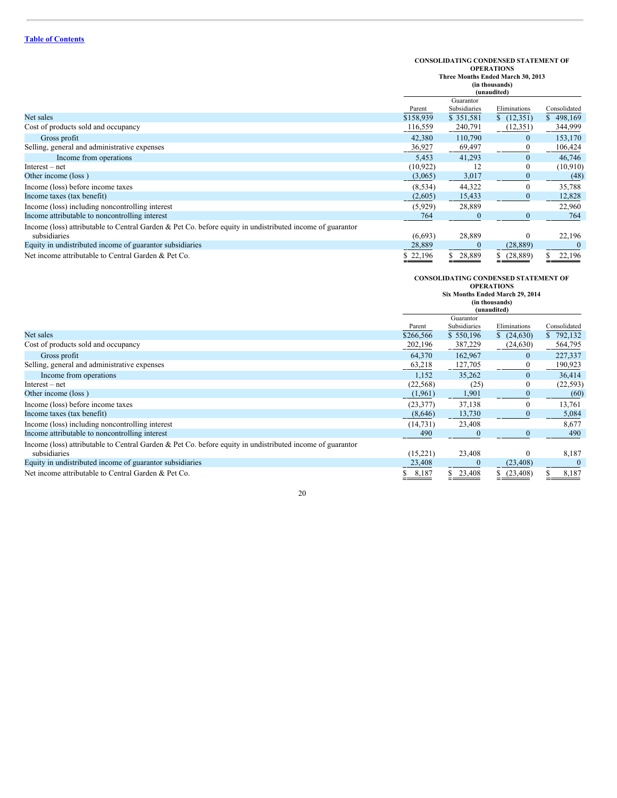# **CONSOLIDATING CONDENSED STATEMENT OF OPERATIONS Three Months Ended March 30, 2013 (in thousands)**

|                                                                                                           |           | (in thousands)<br>(unaudited) |              |              |  |
|-----------------------------------------------------------------------------------------------------------|-----------|-------------------------------|--------------|--------------|--|
|                                                                                                           | Guarantor |                               |              |              |  |
|                                                                                                           | Parent    | Subsidiaries                  | Eliminations | Consolidated |  |
| Net sales                                                                                                 | \$158,939 | \$351,581                     | (12, 351)    | \$498,169    |  |
| Cost of products sold and occupancy                                                                       | 116,559   | 240,791                       | (12,351)     | 344,999      |  |
| Gross profit                                                                                              | 42,380    | 110,790                       | $\theta$     | 153,170      |  |
| Selling, general and administrative expenses                                                              | 36,927    | 69,497                        | $\Omega$     | 106,424      |  |
| Income from operations                                                                                    | 5,453     | 41,293                        | $\mathbf{0}$ | 46,746       |  |
| $Interest - net$                                                                                          | (10, 922) | 12                            | 0            | (10,910)     |  |
| Other income (loss)                                                                                       | (3,065)   | 3,017                         | $\theta$     | (48)         |  |
| Income (loss) before income taxes                                                                         | (8, 534)  | 44,322                        | 0            | 35,788       |  |
| Income taxes (tax benefit)                                                                                | (2,605)   | 15,433                        |              | 12,828       |  |
| Income (loss) including noncontrolling interest                                                           | (5,929)   | 28,889                        |              | 22,960       |  |
| Income attributable to noncontrolling interest                                                            | 764       |                               |              | 764          |  |
| Income (loss) attributable to Central Garden & Pet Co. before equity in undistributed income of guarantor |           |                               |              |              |  |
| subsidiaries                                                                                              | (6,693)   | 28,889                        | 0            | 22,196       |  |
| Equity in undistributed income of guarantor subsidiaries                                                  | 28,889    |                               | (28, 889)    |              |  |
| Net income attributable to Central Garden & Pet Co.                                                       | \$22,196  | 28,889                        | (28, 889)    | 22,196       |  |

## **CONSOLIDATING CONDENSED STATEMENT OF OPERATIONS Six Months Ended March 29, 2014**

|                                                                                                           | SIX MONTHS Ended March 29, 2014<br>(in thousands)<br>(unaudited) |              |              |              |
|-----------------------------------------------------------------------------------------------------------|------------------------------------------------------------------|--------------|--------------|--------------|
|                                                                                                           |                                                                  | Guarantor    |              |              |
|                                                                                                           | Parent                                                           | Subsidiaries | Eliminations | Consolidated |
| Net sales                                                                                                 | \$266,566                                                        | \$550,196    | (24,630)     | \$792,132    |
| Cost of products sold and occupancy                                                                       | 202,196                                                          | 387,229      | (24, 630)    | 564,795      |
| Gross profit                                                                                              | 64,370                                                           | 162,967      | $\bf{0}$     | 227,337      |
| Selling, general and administrative expenses                                                              | 63,218                                                           | 127,705      | $\theta$     | 190,923      |
| Income from operations                                                                                    | 1,152                                                            | 35,262       | $\mathbf{0}$ | 36,414       |
| $Interest - net$                                                                                          | (22, 568)                                                        | (25)         | $\theta$     | (22, 593)    |
| Other income (loss)                                                                                       | (1,961)                                                          | 1,901        |              | (60)         |
| Income (loss) before income taxes                                                                         | (23, 377)                                                        | 37,138       | $\Omega$     | 13,761       |
| Income taxes (tax benefit)                                                                                | (8,646)                                                          | 13,730       | $\theta$     | 5,084        |
| Income (loss) including noncontrolling interest                                                           | (14, 731)                                                        | 23,408       |              | 8,677        |
| Income attributable to noncontrolling interest                                                            | 490                                                              |              | $\theta$     | 490          |
| Income (loss) attributable to Central Garden & Pet Co. before equity in undistributed income of guarantor |                                                                  |              |              |              |
| subsidiaries                                                                                              | (15,221)                                                         | 23,408       | 0            | 8,187        |
| Equity in undistributed income of guarantor subsidiaries                                                  | 23,408                                                           | $\theta$     | (23, 408)    |              |
| Net income attributable to Central Garden & Pet Co.                                                       | 8,187                                                            | 23,408       | (23, 408)    | 8,187        |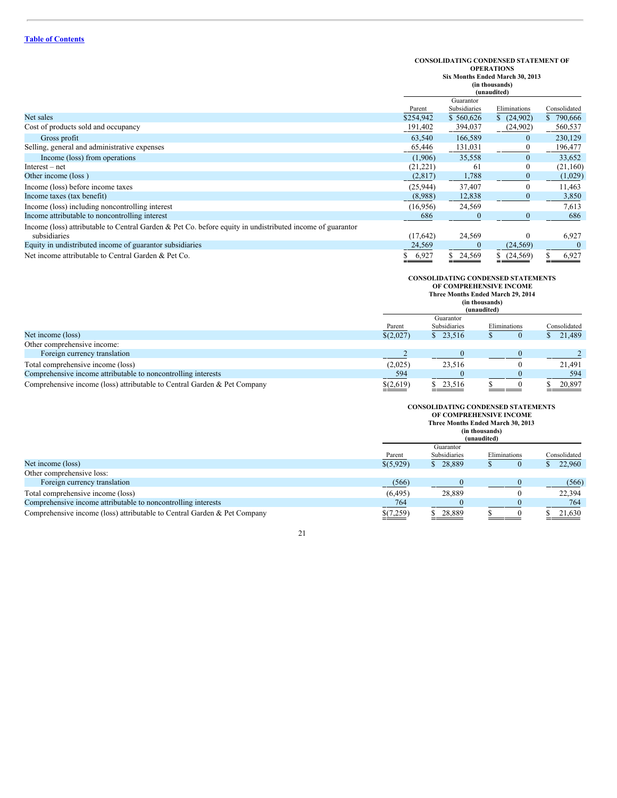### **CONSOLIDATING CONDENSED STATEMENT OF OPERATIONS**

**Six Months Ended March 30, 2013**

| (in thousands) |  |
|----------------|--|
|----------------|--|

|                                                                                                           | (unaudited) |              |                 |              |
|-----------------------------------------------------------------------------------------------------------|-------------|--------------|-----------------|--------------|
|                                                                                                           |             | Guarantor    |                 |              |
|                                                                                                           | Parent      | Subsidiaries | Eliminations    | Consolidated |
| Net sales                                                                                                 | \$254,942   | \$560,626    | (24,902)        | \$790,666    |
| Cost of products sold and occupancy                                                                       | 191,402     | 394,037      | (24,902)        | 560,537      |
| Gross profit                                                                                              | 63,540      | 166,589      | $\theta$        | 230,129      |
| Selling, general and administrative expenses                                                              | 65,446      | 131,031      | $\theta$        | 196,477      |
| Income (loss) from operations                                                                             | (1,906)     | 35,558       | $\mathbf{0}$    | 33,652       |
| $Interest - net$                                                                                          | (21,221)    | 61           |                 | (21,160)     |
| Other income (loss)                                                                                       | (2,817)     | 1,788        | $\bf{0}$        | (1,029)      |
| Income (loss) before income taxes                                                                         | (25,944)    | 37,407       | $\theta$        | 11,463       |
| Income taxes (tax benefit)                                                                                | (8,988)     | 12,838       | $\theta$        | 3,850        |
| Income (loss) including noncontrolling interest                                                           | (16,956)    | 24,569       |                 | 7,613        |
| Income attributable to noncontrolling interest                                                            | 686         |              | $\bf{0}$        | 686          |
| Income (loss) attributable to Central Garden & Pet Co. before equity in undistributed income of guarantor |             |              |                 |              |
| subsidiaries                                                                                              | (17,642)    | 24,569       | 0               | 6,927        |
| Equity in undistributed income of guarantor subsidiaries                                                  | 24,569      | $\bf{0}$     | (24, 569)       |              |
| Net income attributable to Central Garden & Pet Co.                                                       | 6,927       | \$24,569     | (24, 569)<br>\$ | 6,927        |

# **CONSOLIDATING CONDENSED STATEMENTS OF COMPREHENSIVE INCOME Three Months Ended March 29, 2014 (in thousands)**

|                                                                          |                      | (ш. uluusallus)<br>(unaudited) |              |              |  |
|--------------------------------------------------------------------------|----------------------|--------------------------------|--------------|--------------|--|
|                                                                          |                      | Guarantor                      |              |              |  |
|                                                                          | Parent               | Subsidiaries                   | Eliminations | Consolidated |  |
| Net income (loss)                                                        | \$(2,027)            | \$23,516                       |              | \$21,489     |  |
| Other comprehensive income:                                              |                      |                                |              |              |  |
| Foreign currency translation                                             |                      |                                |              |              |  |
| Total comprehensive income (loss)                                        | (2,025)              | 23,516                         |              | 21.491       |  |
| Comprehensive income attributable to noncontrolling interests            | 594                  |                                |              | 594          |  |
| Comprehensive income (loss) attributable to Central Garden & Pet Company | $\frac{$(2,619)}{2}$ | \$23,516                       |              | 20,897       |  |

## **CONSOLIDATING CONDENSED STATEMENTS OF COMPREHENSIVE INCOME**

|                                                                          |           | Three Months Ended March 30, 2013<br>(in thousands)<br>(unaudited) |              |              |  |
|--------------------------------------------------------------------------|-----------|--------------------------------------------------------------------|--------------|--------------|--|
|                                                                          | Parent    | Guarantor<br>Subsidiaries                                          | Eliminations | Consolidated |  |
| Net income (loss)                                                        | \$(5,929) | \$28,889                                                           |              | 22,960       |  |
| Other comprehensive loss:                                                |           |                                                                    |              |              |  |
| Foreign currency translation                                             | (566)     |                                                                    |              | (566)        |  |
| Total comprehensive income (loss)                                        | (6, 495)  | 28,889                                                             |              | 22,394       |  |
| Comprehensive income attributable to noncontrolling interests            | 764       |                                                                    |              | 764          |  |
| Comprehensive income (loss) attributable to Central Garden & Pet Company | \$(7,259) | 28.889                                                             |              | 21.630       |  |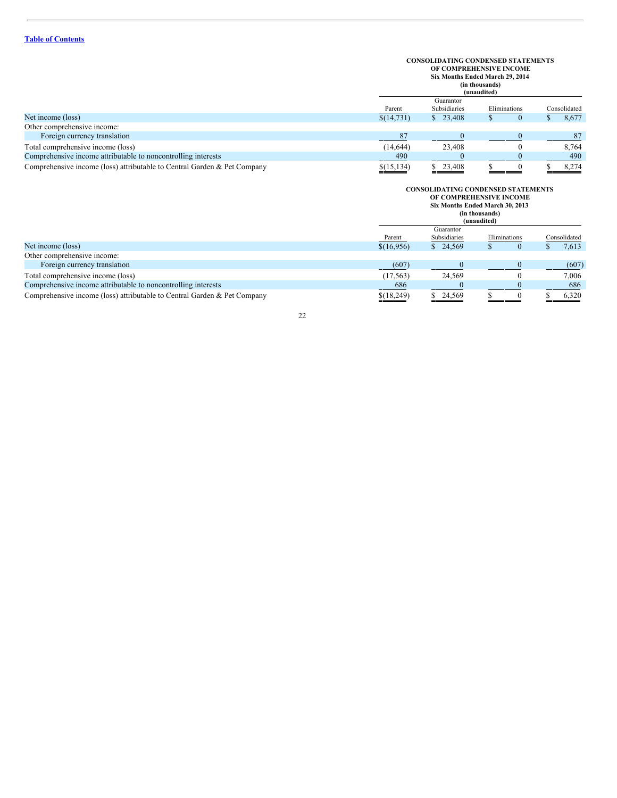## **CONSOLIDATING CONDENSED STATEMENTS OF COMPREHENSIVE INCOME Six Months Ended March 29, 2014**

**(in thousands)**

|                                                                          |             | ли половицо <i>ј</i><br>(unaudited) |              |              |  |
|--------------------------------------------------------------------------|-------------|-------------------------------------|--------------|--------------|--|
|                                                                          |             | Guarantor                           |              |              |  |
|                                                                          | Parent      | Subsidiaries                        | Eliminations | Consolidated |  |
| Net income (loss)                                                        | \$(14,731)  | \$23,408                            |              | 8,677        |  |
| Other comprehensive income:                                              |             |                                     |              |              |  |
| Foreign currency translation                                             | 87          |                                     |              | 87           |  |
| Total comprehensive income (loss)                                        | (14, 644)   | 23,408                              |              | 8.764        |  |
| Comprehensive income attributable to noncontrolling interests            | 490         |                                     |              | 490          |  |
| Comprehensive income (loss) attributable to Central Garden & Pet Company | \$(15, 134) | \$ 23,408                           |              | 8.274        |  |

|                                                                          |              | <b>CONSOLIDATING CONDENSED STATEMENTS</b><br>OF COMPREHENSIVE INCOME<br>Six Months Ended March 30, 2013<br>(in thousands)<br>(unaudited) |              |              |  |
|--------------------------------------------------------------------------|--------------|------------------------------------------------------------------------------------------------------------------------------------------|--------------|--------------|--|
|                                                                          | Parent       | Guarantor<br>Subsidiaries                                                                                                                | Eliminations | Consolidated |  |
| Net income (loss)                                                        | \$(16,956)   | \$24,569                                                                                                                                 | $\mathbf{0}$ | 7,613        |  |
| Other comprehensive income:                                              |              |                                                                                                                                          |              |              |  |
| Foreign currency translation                                             | (607)        |                                                                                                                                          |              | (607)        |  |
| Total comprehensive income (loss)                                        | (17, 563)    | 24,569                                                                                                                                   | 0            | 7,006        |  |
| Comprehensive income attributable to noncontrolling interests            | 686          |                                                                                                                                          |              | 686          |  |
| Comprehensive income (loss) attributable to Central Garden & Pet Company | $$$ (18,249) | 24,569                                                                                                                                   |              | 6,320        |  |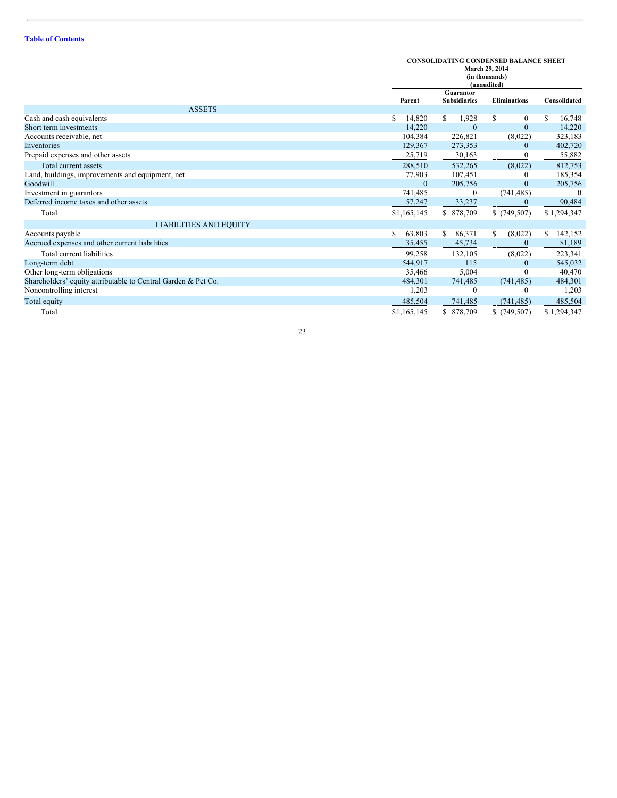**CONSOLIDATING CONDENSED BALANCE SHEET**

|                                                               |              | March 29, 2014<br>(in thousands)<br>(unaudited) |                     |                  |  |
|---------------------------------------------------------------|--------------|-------------------------------------------------|---------------------|------------------|--|
|                                                               |              | Guarantor                                       |                     |                  |  |
|                                                               | Parent       | <b>Subsidiaries</b>                             | <b>Eliminations</b> | Consolidated     |  |
| <b>ASSETS</b>                                                 |              |                                                 |                     |                  |  |
| Cash and cash equivalents                                     | \$<br>14,820 | 1,928<br>S.                                     | S<br>$\theta$       | 16,748<br>S      |  |
| Short term investments                                        | 14,220       | $\Omega$                                        | $\theta$            | 14,220           |  |
| Accounts receivable, net                                      | 104,384      | 226,821                                         | (8,022)             | 323,183          |  |
| Inventories                                                   | 129,367      | 273,353                                         | $\mathbf{0}$        | 402,720          |  |
| Prepaid expenses and other assets                             | 25,719       | 30,163                                          | $\boldsymbol{0}$    | 55,882           |  |
| Total current assets                                          | 288,510      | 532,265                                         | (8,022)             | 812,753          |  |
| Land, buildings, improvements and equipment, net              | 77,903       | 107,451                                         | 0                   | 185,354          |  |
| Goodwill                                                      | $\theta$     | 205,756                                         | $\Omega$            | 205,756          |  |
| Investment in guarantors                                      | 741,485      | $\mathbf{0}$                                    | (741, 485)          | $\boldsymbol{0}$ |  |
| Deferred income taxes and other assets                        | 57,247       | 33,237                                          | $\mathbf{0}$        | 90,484           |  |
| Total                                                         | \$1,165,145  | \$ 878,709                                      | \$(749,507)         | \$1,294,347      |  |
| <b>LIABILITIES AND EQUITY</b>                                 |              |                                                 |                     |                  |  |
| Accounts payable                                              | \$<br>63,803 | 86,371<br>\$                                    | (8,022)<br>S        | 142,152<br>S     |  |
| Accrued expenses and other current liabilities                | 35,455       | 45,734                                          | 0                   | 81,189           |  |
| Total current liabilities                                     | 99,258       | 132,105                                         | (8,022)             | 223,341          |  |
| Long-term debt                                                | 544,917      | 115                                             | $\theta$            | 545,032          |  |
| Other long-term obligations                                   | 35,466       | 5,004                                           | 0                   | 40,470           |  |
| Shareholders' equity attributable to Central Garden & Pet Co. | 484,301      | 741,485                                         | (741, 485)          | 484,301          |  |
| Noncontrolling interest                                       | 1,203        | $\boldsymbol{0}$                                |                     | 1,203            |  |
| Total equity                                                  | 485,504      | 741,485                                         | (741, 485)          | 485,504          |  |
| Total                                                         | \$1,165,145  | \$ 878,709                                      | \$(749,507)         | \$1,294,347      |  |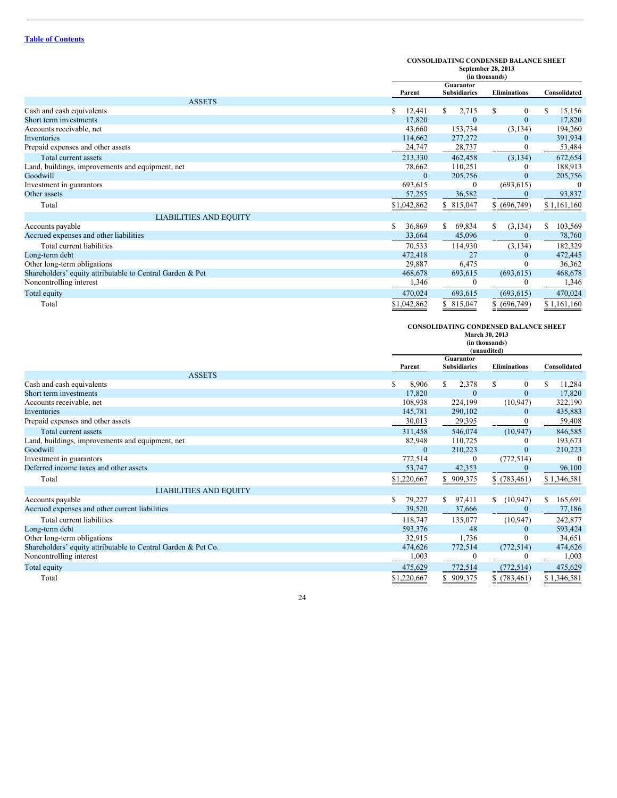### **CONSOLIDATING CONDENSED BALANCE SHEET September 28, 2013**

|                                                           |              | эеріешрег 40, 4019<br>(in thousands) |                     |              |  |
|-----------------------------------------------------------|--------------|--------------------------------------|---------------------|--------------|--|
|                                                           | Parent       | Guarantor<br><b>Subsidiaries</b>     | <b>Eliminations</b> | Consolidated |  |
| <b>ASSETS</b>                                             |              |                                      |                     |              |  |
| Cash and cash equivalents                                 | \$<br>12,441 | 2,715<br>S                           | S<br>$\theta$       | 15,156<br>S  |  |
| Short term investments                                    | 17,820       | $\Omega$                             | $\mathbf{0}$        | 17,820       |  |
| Accounts receivable, net                                  | 43,660       | 153,734                              | (3, 134)            | 194,260      |  |
| Inventories                                               | 114,662      | 277,272                              | $\mathbf{0}$        | 391,934      |  |
| Prepaid expenses and other assets                         | 24,747       | 28,737                               | 0                   | 53,484       |  |
| Total current assets                                      | 213,330      | 462,458                              | (3, 134)            | 672,654      |  |
| Land, buildings, improvements and equipment, net          | 78,662       | 110,251                              | 0                   | 188,913      |  |
| Goodwill                                                  | $\theta$     | 205,756                              | $\mathbf{0}$        | 205,756      |  |
| Investment in guarantors                                  | 693,615      | 0                                    | (693, 615)          | $\Omega$     |  |
| Other assets                                              | 57,255       | 36,582                               |                     | 93,837       |  |
| Total                                                     | \$1,042,862  | \$815,047                            | \$ (696,749)        | \$1,161,160  |  |
| <b>LIABILITIES AND EQUITY</b>                             |              |                                      |                     |              |  |
| Accounts payable                                          | \$<br>36,869 | S.<br>69,834                         | S<br>(3, 134)       | S<br>103,569 |  |
| Accrued expenses and other liabilities                    | 33,664       | 45,096                               | $\mathbf{0}$        | 78,760       |  |
| Total current liabilities                                 | 70,533       | 114,930                              | (3, 134)            | 182,329      |  |
| Long-term debt                                            | 472,418      | 27                                   | $\mathbf{0}$        | 472,445      |  |
| Other long-term obligations                               | 29,887       | 6,475                                |                     | 36,362       |  |
| Shareholders' equity attributable to Central Garden & Pet | 468,678      | 693,615                              | (693, 615)          | 468,678      |  |
| Noncontrolling interest                                   | 1,346        | $\Omega$                             | 0                   | 1,346        |  |
| Total equity                                              | 470,024      | 693,615                              | (693, 615)          | 470,024      |  |
| Total                                                     | \$1,042,862  | \$ 815,047                           | \$ (696,749)        | \$1,161,160  |  |

#### **CONSOLIDATING CONDENSED BALANCE SHEET**

|                                                               |              | March 30, 2013<br>(in thousands)<br>(unaudited) |                     |               |
|---------------------------------------------------------------|--------------|-------------------------------------------------|---------------------|---------------|
|                                                               |              | Guarantor                                       |                     |               |
|                                                               | Parent       | <b>Subsidiaries</b>                             | <b>Eliminations</b> | Consolidated  |
| <b>ASSETS</b>                                                 |              |                                                 |                     |               |
| Cash and cash equivalents                                     | \$<br>8,906  | 2,378<br>S                                      | S<br>$\mathbf{0}$   | S<br>11,284   |
| Short term investments                                        | 17,820       | $\mathbf{0}$                                    | $\mathbf{0}$        | 17,820        |
| Accounts receivable, net                                      | 108,938      | 224,199                                         | (10, 947)           | 322,190       |
| Inventories                                                   | 145,781      | 290,102                                         | $\mathbf{0}$        | 435,883       |
| Prepaid expenses and other assets                             | 30,013       | 29,395                                          |                     | 59,408        |
| Total current assets                                          | 311,458      | 546,074                                         | (10, 947)           | 846,585       |
| Land, buildings, improvements and equipment, net              | 82,948       | 110,725                                         | 0                   | 193,673       |
| Goodwill                                                      | $\Omega$     | 210,223                                         | $\theta$            | 210,223       |
| Investment in guarantors                                      | 772,514      | $\mathbf{0}$                                    | (772, 514)          | $\Omega$      |
| Deferred income taxes and other assets                        | 53,747       | 42,353                                          | 0                   | 96,100        |
| Total                                                         | \$1,220,667  | \$909,375                                       | \$(783,461)         | \$1,346,581   |
| <b>LIABILITIES AND EQUITY</b>                                 |              |                                                 |                     |               |
| Accounts payable                                              | \$<br>79,227 | 97,411<br>S.                                    | (10, 947)<br>\$     | \$<br>165,691 |
| Accrued expenses and other current liabilities                | 39,520       | 37,666                                          | $\Omega$            | 77,186        |
| Total current liabilities                                     | 118,747      | 135,077                                         | (10, 947)           | 242,877       |
| Long-term debt                                                | 593,376      | 48                                              | $\Omega$            | 593,424       |
| Other long-term obligations                                   | 32,915       | 1,736                                           | $_{0}$              | 34,651        |
| Shareholders' equity attributable to Central Garden & Pet Co. | 474,626      | 772,514                                         | (772, 514)          | 474,626       |
| Noncontrolling interest                                       | 1,003        | $\boldsymbol{0}$                                | 0                   | 1,003         |
| Total equity                                                  | 475,629      | 772,514                                         | (772, 514)          | 475,629       |
| Total                                                         | \$1,220,667  | 909,375                                         | \$(783,461)         | \$1,346,581   |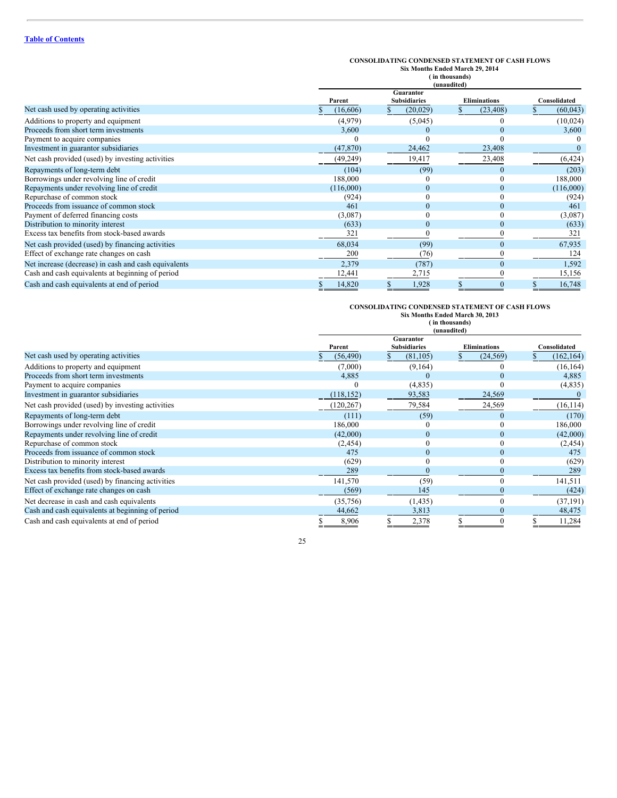|                                                      |           | <b>CONSOLIDATING CONDENSED STATEMENT OF CASH FLOWS</b><br>Six Months Ended March 29, 2014<br>in thousands)<br>(unaudited) |                     |              |  |
|------------------------------------------------------|-----------|---------------------------------------------------------------------------------------------------------------------------|---------------------|--------------|--|
|                                                      | Parent    | Guarantor<br><b>Subsidiaries</b>                                                                                          | <b>Eliminations</b> | Consolidated |  |
| Net cash used by operating activities                | (16,606)  | (20, 029)                                                                                                                 | (23, 408)           | (60, 043)    |  |
| Additions to property and equipment                  | (4,979)   | (5,045)                                                                                                                   |                     | (10,024)     |  |
| Proceeds from short term investments                 | 3,600     |                                                                                                                           | $\Omega$            | 3,600        |  |
| Payment to acquire companies                         | $\Omega$  |                                                                                                                           |                     |              |  |
| Investment in guarantor subsidiaries                 | (47, 870) | 24,462                                                                                                                    | 23,408              |              |  |
| Net cash provided (used) by investing activities     | (49, 249) | 19,417                                                                                                                    | 23,408              | (6, 424)     |  |
| Repayments of long-term debt                         | (104)     | (99)                                                                                                                      | $\Omega$            | (203)        |  |
| Borrowings under revolving line of credit            | 188,000   |                                                                                                                           |                     | 188,000      |  |
| Repayments under revolving line of credit            | (116,000) | $\Omega$                                                                                                                  | $\Omega$            | (116,000)    |  |
| Repurchase of common stock                           | (924)     |                                                                                                                           |                     | (924)        |  |
| Proceeds from issuance of common stock               | 461       |                                                                                                                           |                     | 461          |  |
| Payment of deferred financing costs                  | (3,087)   |                                                                                                                           |                     | (3,087)      |  |
| Distribution to minority interest                    | (633)     | $\mathbf{0}$                                                                                                              | $\bf{0}$            | (633)        |  |
| Excess tax benefits from stock-based awards          | 321       |                                                                                                                           |                     | 321          |  |
| Net cash provided (used) by financing activities     | 68,034    | (99)                                                                                                                      | $\theta$            | 67,935       |  |
| Effect of exchange rate changes on cash              | 200       | (76)                                                                                                                      |                     | 124          |  |
| Net increase (decrease) in cash and cash equivalents | 2,379     | (787)                                                                                                                     | $\Omega$            | 1,592        |  |
| Cash and cash equivalents at beginning of period     | 12,441    | 2,715                                                                                                                     |                     | 15,156       |  |
| Cash and cash equivalents at end of period           | 14,820    | 1,928                                                                                                                     |                     | 16,748       |  |

# **CONSOLIDATING CONDENSED STATEMENT OF CASH FLOWS Six Months Ended March 30, 2013 ( in thousands) (unaudited)**

|                                                  |            | (unaudited)                      |                     |              |  |
|--------------------------------------------------|------------|----------------------------------|---------------------|--------------|--|
|                                                  | Parent     | Guarantor<br><b>Subsidiaries</b> | <b>Eliminations</b> | Consolidated |  |
| Net cash used by operating activities            | (56, 490)  | (81, 105)                        | (24, 569)           | (162, 164)   |  |
| Additions to property and equipment              | (7,000)    | (9,164)                          |                     | (16, 164)    |  |
| Proceeds from short term investments             | 4,885      |                                  | $\Omega$            | 4,885        |  |
| Payment to acquire companies                     |            | (4,835)                          |                     | (4,835)      |  |
| Investment in guarantor subsidiaries             | (118, 152) | 93,583                           | 24,569              |              |  |
| Net cash provided (used) by investing activities | (120, 267) | 79,584                           | 24,569              | (16, 114)    |  |
| Repayments of long-term debt                     | (111)      | (59)                             | $\Omega$            | (170)        |  |
| Borrowings under revolving line of credit        | 186,000    |                                  |                     | 186,000      |  |
| Repayments under revolving line of credit        | (42,000)   | $\Omega$                         |                     | (42,000)     |  |
| Repurchase of common stock                       | (2, 454)   |                                  |                     | (2, 454)     |  |
| Proceeds from issuance of common stock           | 475        |                                  |                     | 475          |  |
| Distribution to minority interest                | (629)      |                                  | $\theta$            | (629)        |  |
| Excess tax benefits from stock-based awards      | 289        |                                  |                     | 289          |  |
| Net cash provided (used) by financing activities | 141,570    | (59)                             | $\theta$            | 141,511      |  |
| Effect of exchange rate changes on cash          | (569)      | 145                              |                     | (424)        |  |
| Net decrease in cash and cash equivalents        | (35,756)   | (1, 435)                         |                     | (37, 191)    |  |
| Cash and cash equivalents at beginning of period | 44,662     | 3,813                            |                     | 48,475       |  |
| Cash and cash equivalents at end of period       | 8,906      | 2,378                            |                     | 11,284       |  |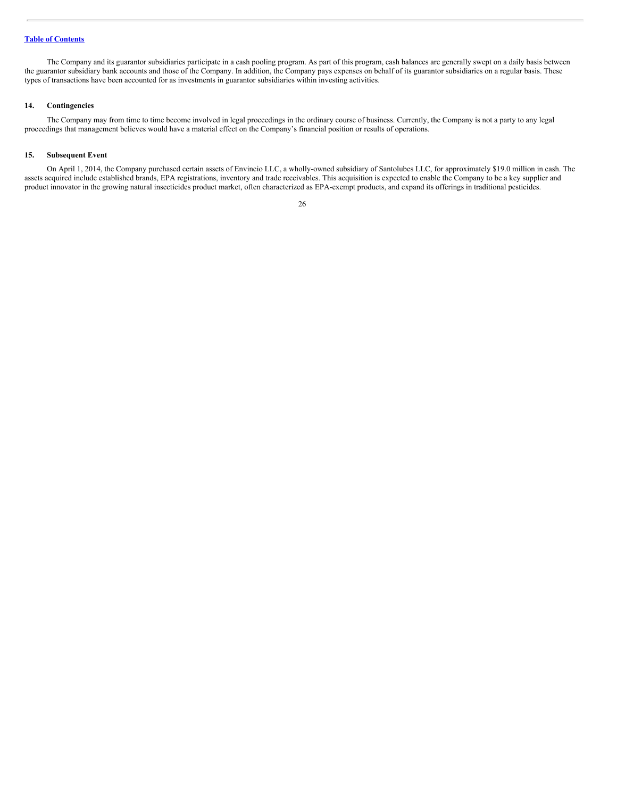The Company and its guarantor subsidiaries participate in a cash pooling program. As part of this program, cash balances are generally swept on a daily basis between the guarantor subsidiary bank accounts and those of the Company. In addition, the Company pays expenses on behalf of its guarantor subsidiaries on a regular basis. These types of transactions have been accounted for as investments in guarantor subsidiaries within investing activities.

#### **14. Contingencies**

The Company may from time to time become involved in legal proceedings in the ordinary course of business. Currently, the Company is not a party to any legal proceedings that management believes would have a material effect on the Company's financial position or results of operations.

#### **15. Subsequent Event**

On April 1, 2014, the Company purchased certain assets of Envincio LLC, a wholly-owned subsidiary of Santolubes LLC, for approximately \$19.0 million in cash. The assets acquired include established brands, EPA registrations, inventory and trade receivables. This acquisition is expected to enable the Company to be a key supplier and product innovator in the growing natural insecticides product market, often characterized as EPA-exempt products, and expand its offerings in traditional pesticides.

<sup>26</sup>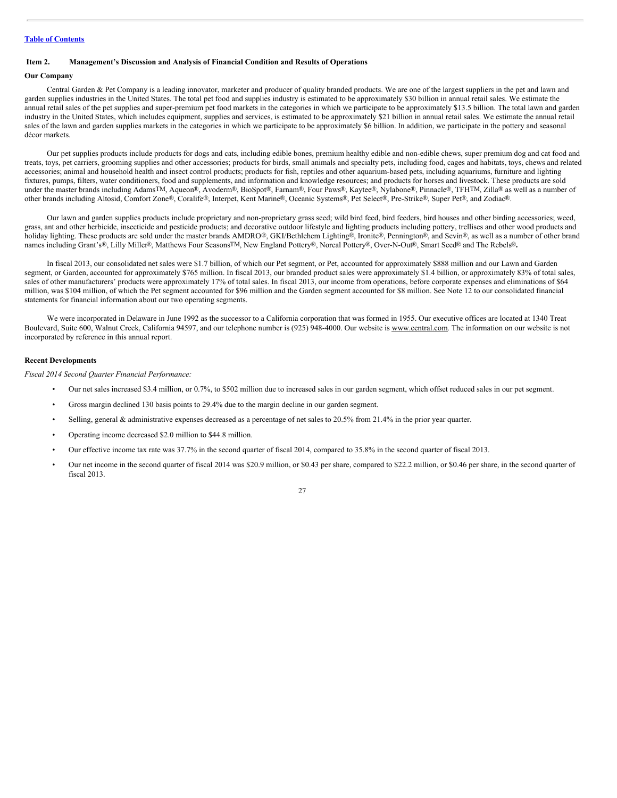#### <span id="page-26-0"></span>**Item 2. Management's Discussion and Analysis of Financial Condition and Results of Operations**

#### **Our Company**

Central Garden & Pet Company is a leading innovator, marketer and producer of quality branded products. We are one of the largest suppliers in the pet and lawn and garden supplies industries in the United States. The total pet food and supplies industry is estimated to be approximately \$30 billion in annual retail sales. We estimate the annual retail sales of the pet supplies and super-premium pet food markets in the categories in which we participate to be approximately \$13.5 billion. The total lawn and garden industry in the United States, which includes equipment, supplies and services, is estimated to be approximately \$21 billion in annual retail sales. We estimate the annual retail sales of the lawn and garden supplies markets in the categories in which we participate to be approximately \$6 billion. In addition, we participate in the pottery and seasonal décor markets.

Our pet supplies products include products for dogs and cats, including edible bones, premium healthy edible and non-edible chews, super premium dog and cat food and treats, toys, pet carriers, grooming supplies and other accessories; products for birds, small animals and specialty pets, including food, cages and habitats, toys, chews and related accessories; animal and household health and insect control products; products for fish, reptiles and other aquarium-based pets, including aquariums, furniture and lighting fixtures, pumps, filters, water conditioners, food and supplements, and information and knowledge resources; and products for horses and livestock. These products are sold under the master brands including Adams<sup>TM</sup>, Aqueon®, Avoderm®, BioSpot®, Farnam®, Four Paws®, Kaytee®, Nylabone®, Pinnacle®, TFHTM, Zilla® as well as a number of other brands including Altosid, Comfort Zone®, Coralife®, Interpet, Kent Marine®, Oceanic Systems®, Pet Select®, Pre-Strike®, Super Pet®, and Zodiac®.

Our lawn and garden supplies products include proprietary and non-proprietary grass seed; wild bird feed, bird feeders, bird houses and other birding accessories; weed, grass, ant and other herbicide, insecticide and pesticide products; and decorative outdoor lifestyle and lighting products including pottery, trellises and other wood products and holiday lighting. These products are sold under the master brands AMDRO®, GKI/Bethlehem Lighting®, Ironite®, Pennington®, and Sevin®, as well as a number of other brand names including Grant's®, Lilly Miller®, Matthews Four SeasonsTM, New England Pottery®, Norcal Pottery®, Over-N-Out®, Smart Seed® and The Rebels®**.**

In fiscal 2013, our consolidated net sales were \$1.7 billion, of which our Pet segment, or Pet, accounted for approximately \$888 million and our Lawn and Garden segment, or Garden, accounted for approximately \$765 million. In fiscal 2013, our branded product sales were approximately \$1.4 billion, or approximately 83% of total sales, sales of other manufacturers' products were approximately 17% of total sales. In fiscal 2013, our income from operations, before corporate expenses and eliminations of \$64 million, was \$104 million, of which the Pet segment accounted for \$96 million and the Garden segment accounted for \$8 million. See Note 12 to our consolidated financial statements for financial information about our two operating segments.

We were incorporated in Delaware in June 1992 as the successor to a California corporation that was formed in 1955. Our executive offices are located at 1340 Treat Boulevard, Suite 600, Walnut Creek, California 94597, and our telephone number is (925) 948-4000. Our website is www.central.com. The information on our website is not incorporated by reference in this annual report.

#### **Recent Developments**

*Fiscal 2014 Second Quarter Financial Performance:*

- Our net sales increased \$3.4 million, or 0.7%, to \$502 million due to increased sales in our garden segment, which offset reduced sales in our pet segment.
- Gross margin declined 130 basis points to 29.4% due to the margin decline in our garden segment.
- Selling, general & administrative expenses decreased as a percentage of net sales to 20.5% from 21.4% in the prior year quarter.
- Operating income decreased \$2.0 million to \$44.8 million.
- Our effective income tax rate was 37.7% in the second quarter of fiscal 2014, compared to 35.8% in the second quarter of fiscal 2013.
- Our net income in the second quarter of fiscal 2014 was \$20.9 million, or \$0.43 per share, compared to \$22.2 million, or \$0.46 per share, in the second quarter of fiscal 2013.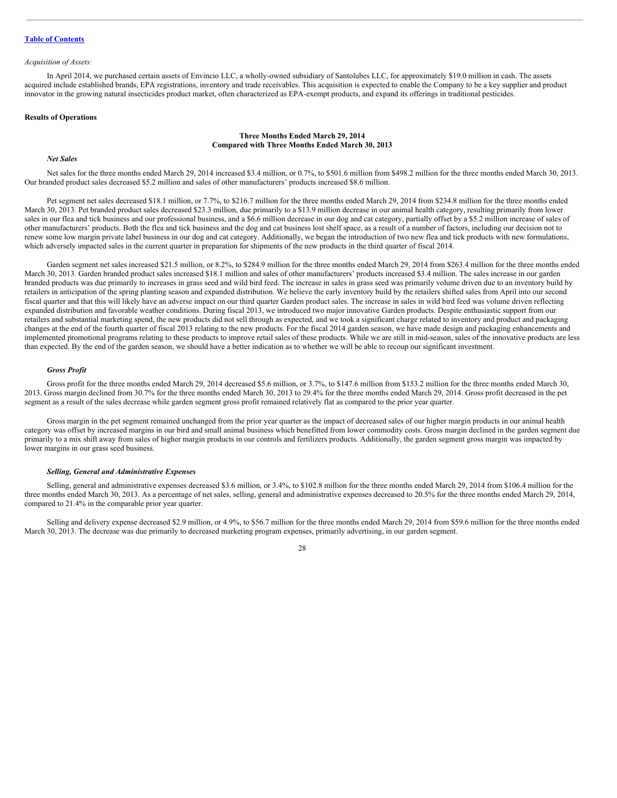#### *Acquisition of Assets:*

In April 2014, we purchased certain assets of Envincio LLC, a wholly-owned subsidiary of Santolubes LLC, for approximately \$19.0 million in cash. The assets acquired include established brands, EPA registrations, inventory and trade receivables. This acquisition is expected to enable the Company to be a key supplier and product innovator in the growing natural insecticides product market, often characterized as EPA-exempt products, and expand its offerings in traditional pesticides.

#### **Results of Operations**

#### **Three Months Ended March 29, 2014 Compared with Three Months Ended March 30, 2013**

#### *Net Sales*

Net sales for the three months ended March 29, 2014 increased \$3.4 million, or 0.7%, to \$501.6 million from \$498.2 million for the three months ended March 30, 2013. Our branded product sales decreased \$5.2 million and sales of other manufacturers' products increased \$8.6 million.

Pet segment net sales decreased \$18.1 million, or 7.7%, to \$216.7 million for the three months ended March 29, 2014 from \$234.8 million for the three months ended March 30, 2013. Pet branded product sales decreased \$23.3 million, due primarily to a \$13.9 million decrease in our animal health category, resulting primarily from lower sales in our flea and tick business and our professional business, and a \$6.6 million decrease in our dog and cat category, partially offset by a \$5.2 million increase of sales of other manufacturers' products. Both the flea and tick business and the dog and cat business lost shelf space, as a result of a number of factors, including our decision not to renew some low margin private label business in our dog and cat category. Additionally, we began the introduction of two new flea and tick products with new formulations, which adversely impacted sales in the current quarter in preparation for shipments of the new products in the third quarter of fiscal 2014.

Garden segment net sales increased \$21.5 million, or 8.2%, to \$284.9 million for the three months ended March 29, 2014 from \$263.4 million for the three months ended March 30, 2013. Garden branded product sales increased \$18.1 million and sales of other manufacturers' products increased \$3.4 million. The sales increase in our garden branded products was due primarily to increases in grass seed and wild bird feed. The increase in sales in grass seed was primarily volume driven due to an inventory build by retailers in anticipation of the spring planting season and expanded distribution. We believe the early inventory build by the retailers shifted sales from April into our second fiscal quarter and that this will likely have an adverse impact on our third quarter Garden product sales. The increase in sales in wild bird feed was volume driven reflecting expanded distribution and favorable weather conditions. During fiscal 2013, we introduced two major innovative Garden products. Despite enthusiastic support from our retailers and substantial marketing spend, the new products did not sell through as expected, and we took a significant charge related to inventory and product and packaging changes at the end of the fourth quarter of fiscal 2013 relating to the new products. For the fiscal 2014 garden season, we have made design and packaging enhancements and implemented promotional programs relating to these products to improve retail sales of these products. While we are still in mid-season, sales of the innovative products are less than expected. By the end of the garden season, we should have a better indication as to whether we will be able to recoup our significant investment.

#### *Gross Profit*

Gross profit for the three months ended March 29, 2014 decreased \$5.6 million, or 3.7%, to \$147.6 million from \$153.2 million for the three months ended March 30, 2013. Gross margin declined from 30.7% for the three months ended March 30, 2013 to 29.4% for the three months ended March 29, 2014. Gross profit decreased in the pet segment as a result of the sales decrease while garden segment gross profit remained relatively flat as compared to the prior year quarter.

Gross margin in the pet segment remained unchanged from the prior year quarter as the impact of decreased sales of our higher margin products in our animal health category was offset by increased margins in our bird and small animal business which benefitted from lower commodity costs. Gross margin declined in the garden segment due primarily to a mix shift away from sales of higher margin products in our controls and fertilizers products. Additionally, the garden segment gross margin was impacted by lower margins in our grass seed business.

#### *Selling, General and Administrative Expenses*

Selling, general and administrative expenses decreased \$3.6 million, or 3.4%, to \$102.8 million for the three months ended March 29, 2014 from \$106.4 million for the three months ended March 30, 2013. As a percentage of net sales, selling, general and administrative expenses decreased to 20.5% for the three months ended March 29, 2014, compared to 21.4% in the comparable prior year quarter.

Selling and delivery expense decreased \$2.9 million, or 4.9%, to \$56.7 million for the three months ended March 29, 2014 from \$59.6 million for the three months ended March 30, 2013. The decrease was due primarily to decreased marketing program expenses, primarily advertising, in our garden segment.

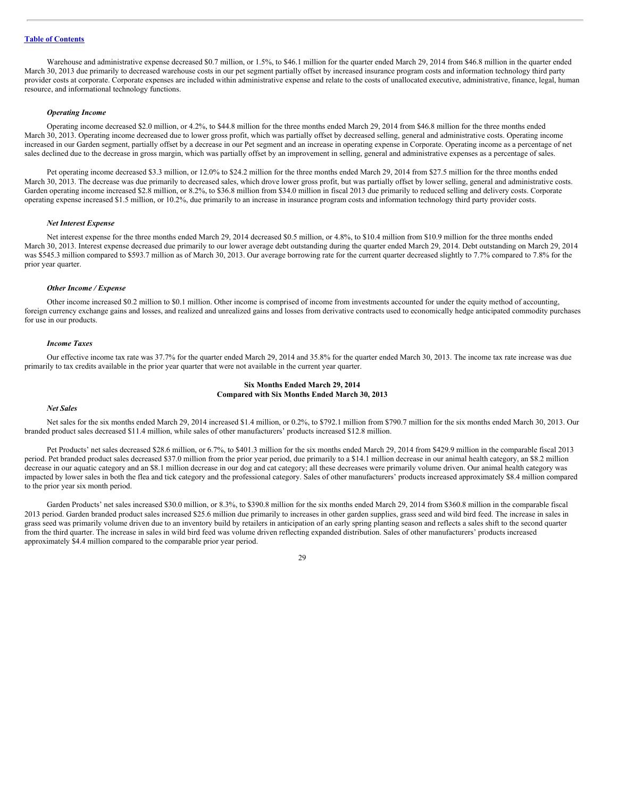Warehouse and administrative expense decreased \$0.7 million, or 1.5%, to \$46.1 million for the quarter ended March 29, 2014 from \$46.8 million in the quarter ended March 30, 2013 due primarily to decreased warehouse costs in our pet segment partially offset by increased insurance program costs and information technology third party provider costs at corporate. Corporate expenses are included within administrative expense and relate to the costs of unallocated executive, administrative, finance, legal, human resource, and informational technology functions.

#### *Operating Income*

Operating income decreased \$2.0 million, or 4.2%, to \$44.8 million for the three months ended March 29, 2014 from \$46.8 million for the three months ended March 30, 2013. Operating income decreased due to lower gross profit, which was partially offset by decreased selling, general and administrative costs. Operating income increased in our Garden segment, partially offset by a decrease in our Pet segment and an increase in operating expense in Corporate. Operating income as a percentage of net sales declined due to the decrease in gross margin, which was partially offset by an improvement in selling, general and administrative expenses as a percentage of sales.

Pet operating income decreased \$3.3 million, or 12.0% to \$24.2 million for the three months ended March 29, 2014 from \$27.5 million for the three months ended March 30, 2013. The decrease was due primarily to decreased sales, which drove lower gross profit, but was partially offset by lower selling, general and administrative costs. Garden operating income increased \$2.8 million, or 8.2%, to \$36.8 million from \$34.0 million in fiscal 2013 due primarily to reduced selling and delivery costs. Corporate operating expense increased \$1.5 million, or 10.2%, due primarily to an increase in insurance program costs and information technology third party provider costs.

#### *Net Interest Expense*

Net interest expense for the three months ended March 29, 2014 decreased \$0.5 million, or 4.8%, to \$10.4 million from \$10.9 million for the three months ended March 30, 2013. Interest expense decreased due primarily to our lower average debt outstanding during the quarter ended March 29, 2014. Debt outstanding on March 29, 2014 was \$545.3 million compared to \$593.7 million as of March 30, 2013. Our average borrowing rate for the current quarter decreased slightly to 7.7% compared to 7.8% for the prior year quarter.

#### *Other Income / Expense*

Other income increased \$0.2 million to \$0.1 million. Other income is comprised of income from investments accounted for under the equity method of accounting, foreign currency exchange gains and losses, and realized and unrealized gains and losses from derivative contracts used to economically hedge anticipated commodity purchases for use in our products.

#### *Income Taxes*

Our effective income tax rate was 37.7% for the quarter ended March 29, 2014 and 35.8% for the quarter ended March 30, 2013. The income tax rate increase was due primarily to tax credits available in the prior year quarter that were not available in the current year quarter.

#### **Six Months Ended March 29, 2014 Compared with Six Months Ended March 30, 2013**

#### *Net Sales*

Net sales for the six months ended March 29, 2014 increased \$1.4 million, or 0.2%, to \$792.1 million from \$790.7 million for the six months ended March 30, 2013. Our branded product sales decreased \$11.4 million, while sales of other manufacturers' products increased \$12.8 million.

Pet Products' net sales decreased \$28.6 million, or 6.7%, to \$401.3 million for the six months ended March 29, 2014 from \$429.9 million in the comparable fiscal 2013 period. Pet branded product sales decreased \$37.0 million from the prior year period, due primarily to a \$14.1 million decrease in our animal health category, an \$8.2 million decrease in our aquatic category and an \$8.1 million decrease in our dog and cat category; all these decreases were primarily volume driven. Our animal health category was impacted by lower sales in both the flea and tick category and the professional category. Sales of other manufacturers' products increased approximately \$8.4 million compared to the prior year six month period.

Garden Products' net sales increased \$30.0 million, or 8.3%, to \$390.8 million for the six months ended March 29, 2014 from \$360.8 million in the comparable fiscal 2013 period. Garden branded product sales increased \$25.6 million due primarily to increases in other garden supplies, grass seed and wild bird feed. The increase in sales in grass seed was primarily volume driven due to an inventory build by retailers in anticipation of an early spring planting season and reflects a sales shift to the second quarter from the third quarter. The increase in sales in wild bird feed was volume driven reflecting expanded distribution. Sales of other manufacturers' products increased approximately \$4.4 million compared to the comparable prior year period.

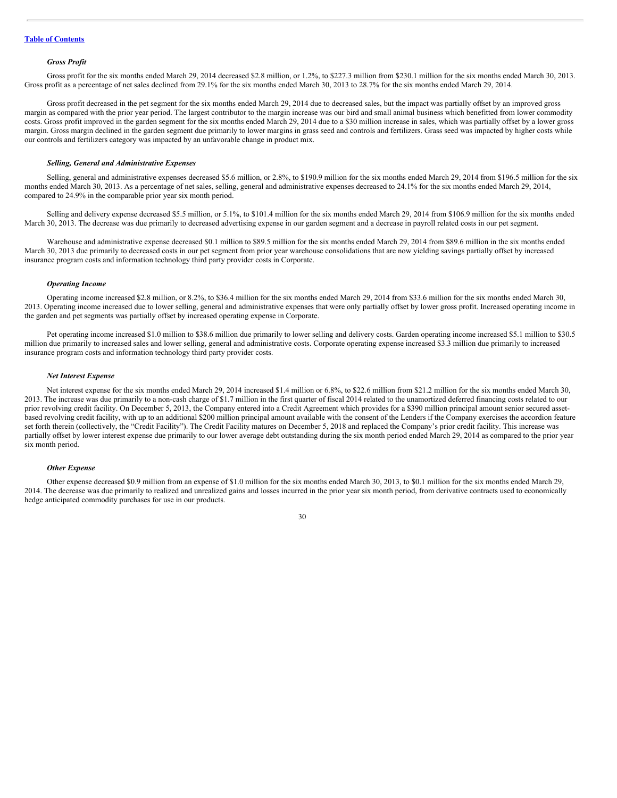#### *Gross Profit*

Gross profit for the six months ended March 29, 2014 decreased \$2.8 million, or 1.2%, to \$227.3 million from \$230.1 million for the six months ended March 30, 2013. Gross profit as a percentage of net sales declined from 29.1% for the six months ended March 30, 2013 to 28.7% for the six months ended March 29, 2014.

Gross profit decreased in the pet segment for the six months ended March 29, 2014 due to decreased sales, but the impact was partially offset by an improved gross margin as compared with the prior year period. The largest contributor to the margin increase was our bird and small animal business which benefitted from lower commodity costs. Gross profit improved in the garden segment for the six months ended March 29, 2014 due to a \$30 million increase in sales, which was partially offset by a lower gross margin. Gross margin declined in the garden segment due primarily to lower margins in grass seed and controls and fertilizers. Grass seed was impacted by higher costs while our controls and fertilizers category was impacted by an unfavorable change in product mix.

#### *Selling, General and Administrative Expenses*

Selling, general and administrative expenses decreased \$5.6 million, or 2.8%, to \$190.9 million for the six months ended March 29, 2014 from \$196.5 million for the six months ended March 30, 2013. As a percentage of net sales, selling, general and administrative expenses decreased to 24.1% for the six months ended March 29, 2014, compared to 24.9% in the comparable prior year six month period.

Selling and delivery expense decreased \$5.5 million, or 5.1%, to \$101.4 million for the six months ended March 29, 2014 from \$106.9 million for the six months ended March 30, 2013. The decrease was due primarily to decreased advertising expense in our garden segment and a decrease in payroll related costs in our pet segment.

Warehouse and administrative expense decreased \$0.1 million to \$89.5 million for the six months ended March 29, 2014 from \$89.6 million in the six months ended March 30, 2013 due primarily to decreased costs in our pet segment from prior year warehouse consolidations that are now yielding savings partially offset by increased insurance program costs and information technology third party provider costs in Corporate.

#### *Operating Income*

Operating income increased \$2.8 million, or 8.2%, to \$36.4 million for the six months ended March 29, 2014 from \$33.6 million for the six months ended March 30, 2013. Operating income increased due to lower selling, general and administrative expenses that were only partially offset by lower gross profit. Increased operating income in the garden and pet segments was partially offset by increased operating expense in Corporate.

Pet operating income increased \$1.0 million to \$38.6 million due primarily to lower selling and delivery costs. Garden operating income increased \$5.1 million to \$30.5 million due primarily to increased sales and lower selling, general and administrative costs. Corporate operating expense increased \$3.3 million due primarily to increased insurance program costs and information technology third party provider costs.

#### *Net Interest Expense*

Net interest expense for the six months ended March 29, 2014 increased \$1.4 million or 6.8%, to \$22.6 million from \$21.2 million for the six months ended March 30, 2013. The increase was due primarily to a non-cash charge of \$1.7 million in the first quarter of fiscal 2014 related to the unamortized deferred financing costs related to our prior revolving credit facility. On December 5, 2013, the Company entered into a Credit Agreement which provides for a \$390 million principal amount senior secured assetbased revolving credit facility, with up to an additional \$200 million principal amount available with the consent of the Lenders if the Company exercises the accordion feature set forth therein (collectively, the "Credit Facility"). The Credit Facility matures on December 5, 2018 and replaced the Company's prior credit facility. This increase was partially offset by lower interest expense due primarily to our lower average debt outstanding during the six month period ended March 29, 2014 as compared to the prior year six month period.

#### *Other Expense*

Other expense decreased \$0.9 million from an expense of \$1.0 million for the six months ended March 30, 2013, to \$0.1 million for the six months ended March 29, 2014. The decrease was due primarily to realized and unrealized gains and losses incurred in the prior year six month period, from derivative contracts used to economically hedge anticipated commodity purchases for use in our products.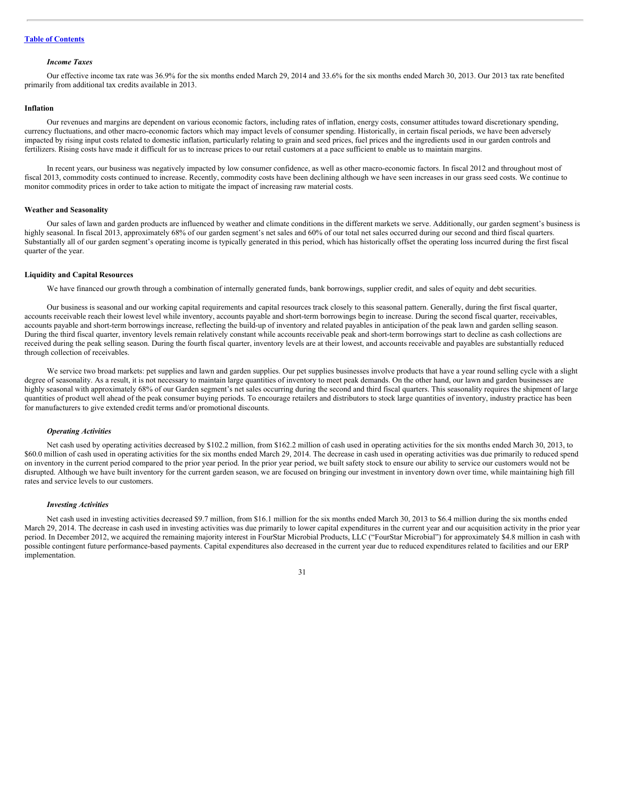#### *Income Taxes*

Our effective income tax rate was 36.9% for the six months ended March 29, 2014 and 33.6% for the six months ended March 30, 2013. Our 2013 tax rate benefited primarily from additional tax credits available in 2013.

#### **Inflation**

Our revenues and margins are dependent on various economic factors, including rates of inflation, energy costs, consumer attitudes toward discretionary spending, currency fluctuations, and other macro-economic factors which may impact levels of consumer spending. Historically, in certain fiscal periods, we have been adversely impacted by rising input costs related to domestic inflation, particularly relating to grain and seed prices, fuel prices and the ingredients used in our garden controls and fertilizers. Rising costs have made it difficult for us to increase prices to our retail customers at a pace sufficient to enable us to maintain margins.

In recent years, our business was negatively impacted by low consumer confidence, as well as other macro-economic factors. In fiscal 2012 and throughout most of fiscal 2013, commodity costs continued to increase. Recently, commodity costs have been declining although we have seen increases in our grass seed costs. We continue to monitor commodity prices in order to take action to mitigate the impact of increasing raw material costs.

#### **Weather and Seasonality**

Our sales of lawn and garden products are influenced by weather and climate conditions in the different markets we serve. Additionally, our garden segment's business is highly seasonal. In fiscal 2013, approximately 68% of our garden segment's net sales and 60% of our total net sales occurred during our second and third fiscal quarters. Substantially all of our garden segment's operating income is typically generated in this period, which has historically offset the operating loss incurred during the first fiscal quarter of the year.

#### **Liquidity and Capital Resources**

We have financed our growth through a combination of internally generated funds, bank borrowings, supplier credit, and sales of equity and debt securities.

Our business is seasonal and our working capital requirements and capital resources track closely to this seasonal pattern. Generally, during the first fiscal quarter, accounts receivable reach their lowest level while inventory, accounts payable and short-term borrowings begin to increase. During the second fiscal quarter, receivables, accounts payable and short-term borrowings increase, reflecting the build-up of inventory and related payables in anticipation of the peak lawn and garden selling season. During the third fiscal quarter, inventory levels remain relatively constant while accounts receivable peak and short-term borrowings start to decline as cash collections are received during the peak selling season. During the fourth fiscal quarter, inventory levels are at their lowest, and accounts receivable and payables are substantially reduced through collection of receivables.

We service two broad markets: pet supplies and lawn and garden supplies. Our pet supplies businesses involve products that have a year round selling cycle with a slight degree of seasonality. As a result, it is not necessary to maintain large quantities of inventory to meet peak demands. On the other hand, our lawn and garden businesses are highly seasonal with approximately 68% of our Garden segment's net sales occurring during the second and third fiscal quarters. This seasonality requires the shipment of large quantities of product well ahead of the peak consumer buying periods. To encourage retailers and distributors to stock large quantities of inventory, industry practice has been for manufacturers to give extended credit terms and/or promotional discounts.

#### *Operating Activities*

Net cash used by operating activities decreased by \$102.2 million, from \$162.2 million of cash used in operating activities for the six months ended March 30, 2013, to \$60.0 million of cash used in operating activities for the six months ended March 29, 2014. The decrease in cash used in operating activities was due primarily to reduced spend on inventory in the current period compared to the prior year period. In the prior year period, we built safety stock to ensure our ability to service our customers would not be disrupted. Although we have built inventory for the current garden season, we are focused on bringing our investment in inventory down over time, while maintaining high fill rates and service levels to our customers.

#### *Investing Activities*

Net cash used in investing activities decreased \$9.7 million, from \$16.1 million for the six months ended March 30, 2013 to \$6.4 million during the six months ended March 29, 2014. The decrease in cash used in investing activities was due primarily to lower capital expenditures in the current year and our acquisition activity in the prior year period. In December 2012, we acquired the remaining majority interest in FourStar Microbial Products, LLC ("FourStar Microbial") for approximately \$4.8 million in cash with possible contingent future performance-based payments. Capital expenditures also decreased in the current year due to reduced expenditures related to facilities and our ERP implementation.

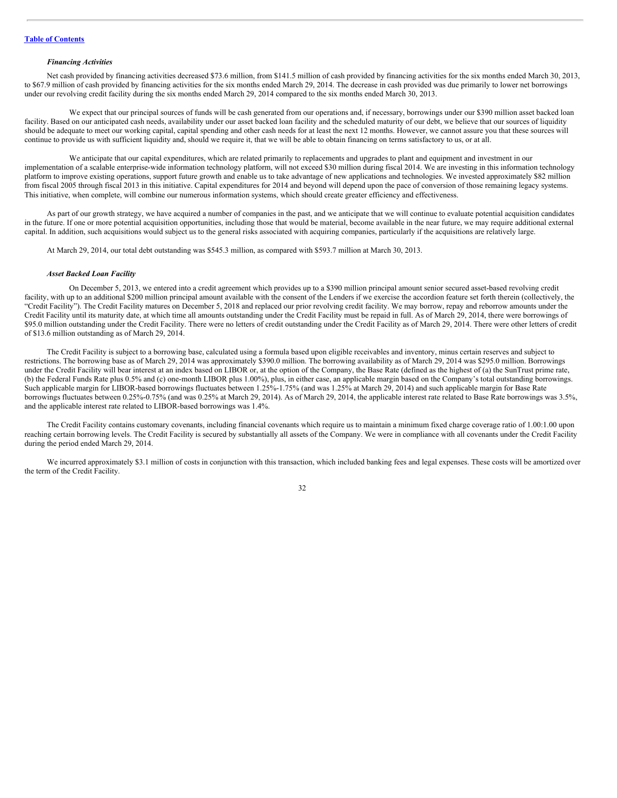#### *Financing Activities*

Net cash provided by financing activities decreased \$73.6 million, from \$141.5 million of cash provided by financing activities for the six months ended March 30, 2013, to \$67.9 million of cash provided by financing activities for the six months ended March 29, 2014. The decrease in cash provided was due primarily to lower net borrowings under our revolving credit facility during the six months ended March 29, 2014 compared to the six months ended March 30, 2013.

We expect that our principal sources of funds will be cash generated from our operations and, if necessary, borrowings under our \$390 million asset backed loan facility. Based on our anticipated cash needs, availability under our asset backed loan facility and the scheduled maturity of our debt, we believe that our sources of liquidity should be adequate to meet our working capital, capital spending and other cash needs for at least the next 12 months. However, we cannot assure you that these sources will continue to provide us with sufficient liquidity and, should we require it, that we will be able to obtain financing on terms satisfactory to us, or at all.

We anticipate that our capital expenditures, which are related primarily to replacements and upgrades to plant and equipment and investment in our implementation of a scalable enterprise-wide information technology platform, will not exceed \$30 million during fiscal 2014. We are investing in this information technology platform to improve existing operations, support future growth and enable us to take advantage of new applications and technologies. We invested approximately \$82 million from fiscal 2005 through fiscal 2013 in this initiative. Capital expenditures for 2014 and beyond will depend upon the pace of conversion of those remaining legacy systems. This initiative, when complete, will combine our numerous information systems, which should create greater efficiency and effectiveness.

As part of our growth strategy, we have acquired a number of companies in the past, and we anticipate that we will continue to evaluate potential acquisition candidates in the future. If one or more potential acquisition opportunities, including those that would be material, become available in the near future, we may require additional external capital. In addition, such acquisitions would subject us to the general risks associated with acquiring companies, particularly if the acquisitions are relatively large.

At March 29, 2014, our total debt outstanding was \$545.3 million, as compared with \$593.7 million at March 30, 2013.

#### *Asset Backed Loan Facility*

On December 5, 2013, we entered into a credit agreement which provides up to a \$390 million principal amount senior secured asset-based revolving credit facility, with up to an additional \$200 million principal amount available with the consent of the Lenders if we exercise the accordion feature set forth therein (collectively, the "Credit Facility"). The Credit Facility matures on December 5, 2018 and replaced our prior revolving credit facility. We may borrow, repay and reborrow amounts under the Credit Facility until its maturity date, at which time all amounts outstanding under the Credit Facility must be repaid in full. As of March 29, 2014, there were borrowings of \$95.0 million outstanding under the Credit Facility. There were no letters of credit outstanding under the Credit Facility as of March 29, 2014. There were other letters of credit of \$13.6 million outstanding as of March 29, 2014.

The Credit Facility is subject to a borrowing base, calculated using a formula based upon eligible receivables and inventory, minus certain reserves and subject to restrictions. The borrowing base as of March 29, 2014 was approximately \$390.0 million. The borrowing availability as of March 29, 2014 was \$295.0 million. Borrowings under the Credit Facility will bear interest at an index based on LIBOR or, at the option of the Company, the Base Rate (defined as the highest of (a) the SunTrust prime rate, (b) the Federal Funds Rate plus 0.5% and (c) one-month LIBOR plus 1.00%), plus, in either case, an applicable margin based on the Company's total outstanding borrowings. Such applicable margin for LIBOR-based borrowings fluctuates between 1.25%-1.75% (and was 1.25% at March 29, 2014) and such applicable margin for Base Rate borrowings fluctuates between 0.25%-0.75% (and was 0.25% at March 29, 2014). As of March 29, 2014, the applicable interest rate related to Base Rate borrowings was 3.5%, and the applicable interest rate related to LIBOR-based borrowings was 1.4%.

The Credit Facility contains customary covenants, including financial covenants which require us to maintain a minimum fixed charge coverage ratio of 1.00:1.00 upon reaching certain borrowing levels. The Credit Facility is secured by substantially all assets of the Company. We were in compliance with all covenants under the Credit Facility during the period ended March 29, 2014.

We incurred approximately \$3.1 million of costs in conjunction with this transaction, which included banking fees and legal expenses. These costs will be amortized over the term of the Credit Facility.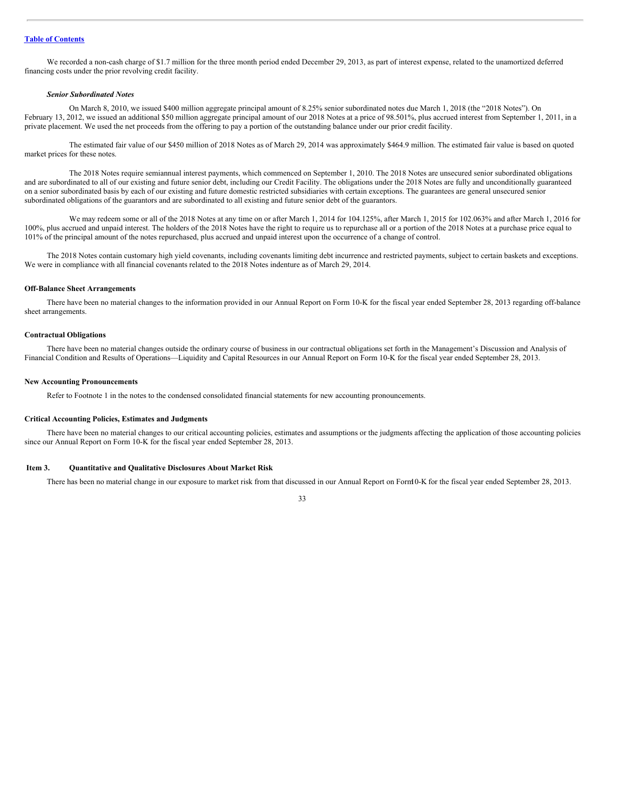We recorded a non-cash charge of \$1.7 million for the three month period ended December 29, 2013, as part of interest expense, related to the unamortized deferred financing costs under the prior revolving credit facility.

#### *Senior Subordinated Notes*

On March 8, 2010, we issued \$400 million aggregate principal amount of 8.25% senior subordinated notes due March 1, 2018 (the "2018 Notes"). On February 13, 2012, we issued an additional \$50 million aggregate principal amount of our 2018 Notes at a price of 98.501%, plus accrued interest from September 1, 2011, in a private placement. We used the net proceeds from the offering to pay a portion of the outstanding balance under our prior credit facility.

The estimated fair value of our \$450 million of 2018 Notes as of March 29, 2014 was approximately \$464.9 million. The estimated fair value is based on quoted market prices for these notes.

The 2018 Notes require semiannual interest payments, which commenced on September 1, 2010. The 2018 Notes are unsecured senior subordinated obligations and are subordinated to all of our existing and future senior debt, including our Credit Facility. The obligations under the 2018 Notes are fully and unconditionally guaranteed on a senior subordinated basis by each of our existing and future domestic restricted subsidiaries with certain exceptions. The guarantees are general unsecured senior subordinated obligations of the guarantors and are subordinated to all existing and future senior debt of the guarantors.

We may redeem some or all of the 2018 Notes at any time on or after March 1, 2014 for 104.125%, after March 1, 2015 for 102.063% and after March 1, 2016 for 100%, plus accrued and unpaid interest. The holders of the 2018 Notes have the right to require us to repurchase all or a portion of the 2018 Notes at a purchase price equal to 101% of the principal amount of the notes repurchased, plus accrued and unpaid interest upon the occurrence of a change of control.

The 2018 Notes contain customary high yield covenants, including covenants limiting debt incurrence and restricted payments, subject to certain baskets and exceptions. We were in compliance with all financial covenants related to the 2018 Notes indenture as of March 29, 2014.

#### **Off-Balance Sheet Arrangements**

There have been no material changes to the information provided in our Annual Report on Form 10-K for the fiscal year ended September 28, 2013 regarding off-balance sheet arrangements.

#### **Contractual Obligations**

There have been no material changes outside the ordinary course of business in our contractual obligations set forth in the Management's Discussion and Analysis of Financial Condition and Results of Operations—Liquidity and Capital Resources in our Annual Report on Form 10-K for the fiscal year ended September 28, 2013.

#### **New Accounting Pronouncements**

Refer to Footnote 1 in the notes to the condensed consolidated financial statements for new accounting pronouncements.

#### **Critical Accounting Policies, Estimates and Judgments**

There have been no material changes to our critical accounting policies, estimates and assumptions or the judgments affecting the application of those accounting policies since our Annual Report on Form 10-K for the fiscal year ended September 28, 2013.

#### <span id="page-32-0"></span>**Item 3. Quantitative and Qualitative Disclosures About Market Risk**

There has been no material change in our exposure to market risk from that discussed in our Annual Report on Form10-K for the fiscal year ended September 28, 2013.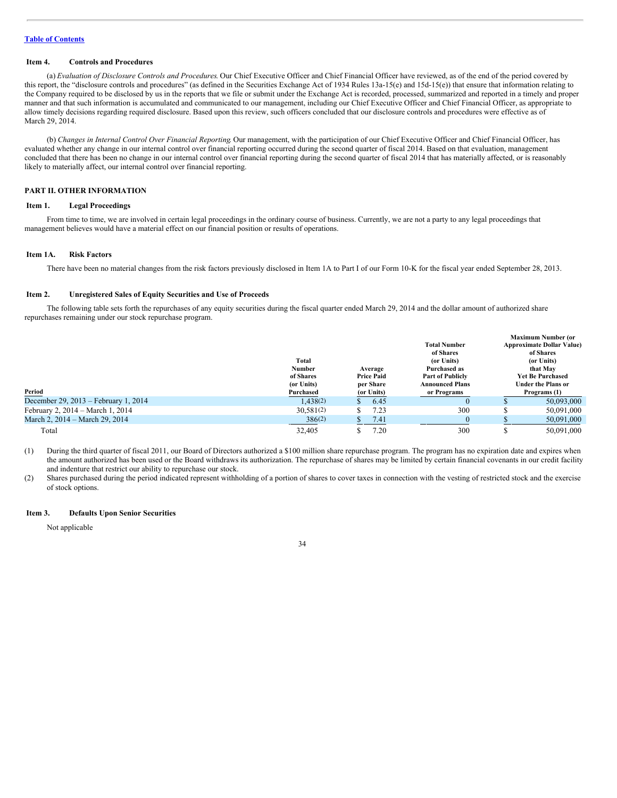#### <span id="page-33-0"></span>**Item 4. Controls and Procedures**

(a) *Evaluation of Disclosure Controls and Procedures*. Our Chief Executive Officer and Chief Financial Officer have reviewed, as of the end of the period covered by this report, the "disclosure controls and procedures" (as defined in the Securities Exchange Act of 1934 Rules 13a-15(e) and 15d-15(e)) that ensure that information relating to the Company required to be disclosed by us in the reports that we file or submit under the Exchange Act is recorded, processed, summarized and reported in a timely and proper manner and that such information is accumulated and communicated to our management, including our Chief Executive Officer and Chief Financial Officer, as appropriate to allow timely decisions regarding required disclosure. Based upon this review, such officers concluded that our disclosure controls and procedures were effective as of March 29, 2014.

(b) *Changes in Internal Control Over Financial Reporting*. Our management, with the participation of our Chief Executive Officer and Chief Financial Officer, has evaluated whether any change in our internal control over financial reporting occurred during the second quarter of fiscal 2014. Based on that evaluation, management concluded that there has been no change in our internal control over financial reporting during the second quarter of fiscal 2014 that has materially affected, or is reasonably likely to materially affect, our internal control over financial reporting.

#### **PART II. OTHER INFORMATION**

#### <span id="page-33-1"></span>**Item 1. Legal Proceedings**

From time to time, we are involved in certain legal proceedings in the ordinary course of business. Currently, we are not a party to any legal proceedings that management believes would have a material effect on our financial position or results of operations.

#### <span id="page-33-2"></span>**Item 1A. Risk Factors**

There have been no material changes from the risk factors previously disclosed in Item 1A to Part I of our Form 10-K for the fiscal year ended September 28, 2013.

#### <span id="page-33-3"></span>**Item 2. Unregistered Sales of Equity Securities and Use of Proceeds**

The following table sets forth the repurchases of any equity securities during the fiscal quarter ended March 29, 2014 and the dollar amount of authorized share repurchases remaining under our stock repurchase program.

| <b>Maximum Number (or</b>        |
|----------------------------------|
| <b>Approximate Dollar Value)</b> |
| of Shares                        |
| (or Units)                       |
| that May                         |
| <b>Yet Be Purchased</b>          |
| <b>Under the Plans or</b>        |
| Programs (1)                     |
| 50.093.000                       |
| 50,091,000                       |
| 50,091,000                       |
| 50.091.000                       |
|                                  |

(1) During the third quarter of fiscal 2011, our Board of Directors authorized a \$100 million share repurchase program. The program has no expiration date and expires when the amount authorized has been used or the Board withdraws its authorization. The repurchase of shares may be limited by certain financial covenants in our credit facility and indenture that restrict our ability to repurchase our stock.

(2) Shares purchased during the period indicated represent withholding of a portion of shares to cover taxes in connection with the vesting of restricted stock and the exercise of stock options.

#### <span id="page-33-4"></span>**Item 3. Defaults Upon Senior Securities**

Not applicable

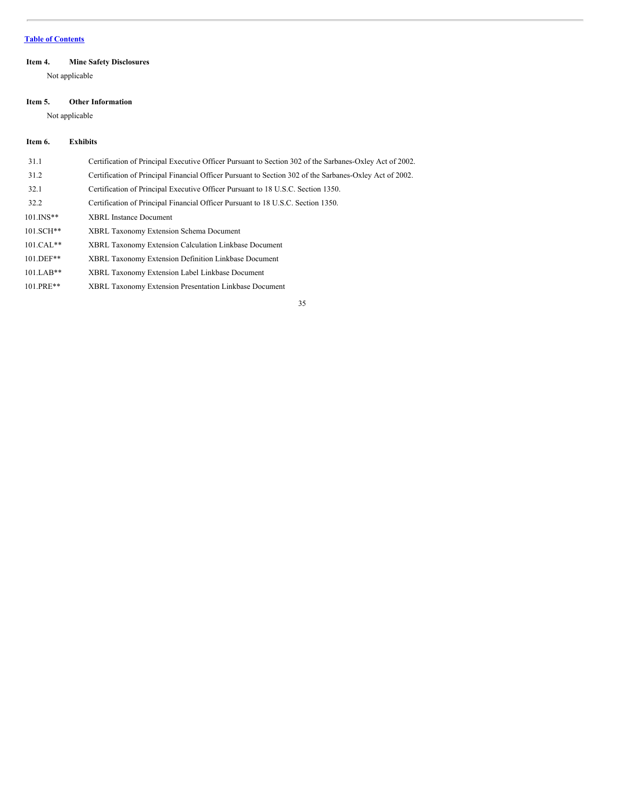#### <span id="page-34-0"></span>**Item 4. Mine Safety Disclosures**

Not applicable

#### <span id="page-34-1"></span>**Item 5. Other Information**

Not applicable

#### <span id="page-34-2"></span>**Item 6. Exhibits**

| 31.1         | Certification of Principal Executive Officer Pursuant to Section 302 of the Sarbanes-Oxley Act of 2002. |
|--------------|---------------------------------------------------------------------------------------------------------|
| 31.2         | Certification of Principal Financial Officer Pursuant to Section 302 of the Sarbanes-Oxley Act of 2002. |
| 32.1         | Certification of Principal Executive Officer Pursuant to 18 U.S.C. Section 1350.                        |
| 32.2         | Certification of Principal Financial Officer Pursuant to 18 U.S.C. Section 1350.                        |
| $101.$ INS** | <b>XBRL</b> Instance Document                                                                           |
| $101.SCH***$ | <b>XBRL Taxonomy Extension Schema Document</b>                                                          |
| $101.CAL**$  | XBRL Taxonomy Extension Calculation Linkbase Document                                                   |
| $101.$ DEF** | XBRL Taxonomy Extension Definition Linkbase Document                                                    |
| $101.LAB**$  | XBRL Taxonomy Extension Label Linkbase Document                                                         |
| 101.PRE**    | XBRL Taxonomy Extension Presentation Linkbase Document                                                  |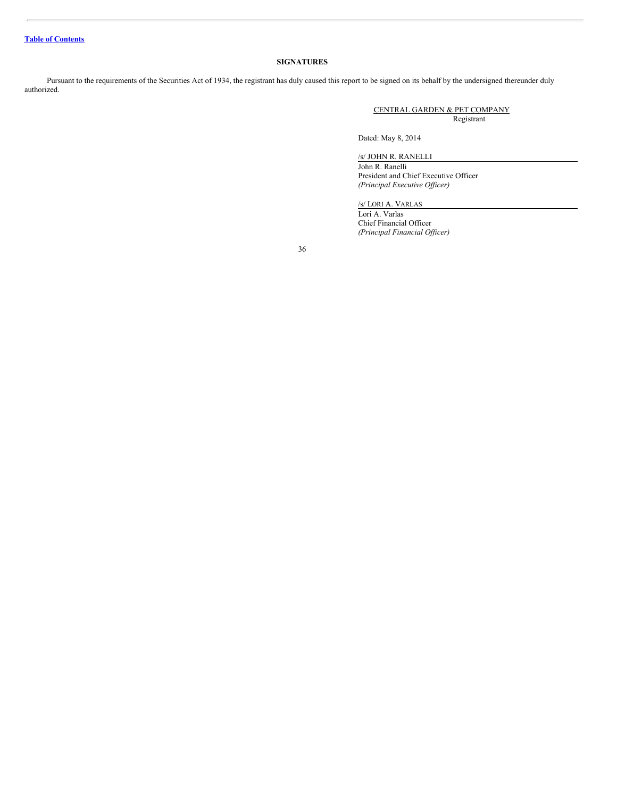#### **SIGNATURES**

Pursuant to the requirements of the Securities Act of 1934, the registrant has duly caused this report to be signed on its behalf by the undersigned thereunder duly authorized.

> CENTRAL GARDEN & PET COMPANY Registrant

Dated: May 8, 2014

/s/ JOHN R. RANELLI

John R. Ranelli President and Chief Executive Officer *(Principal Executive Of icer)*

/s/ LORI A. VARLAS

Lori A. Varlas Chief Financial Officer *(Principal Financial Of icer)*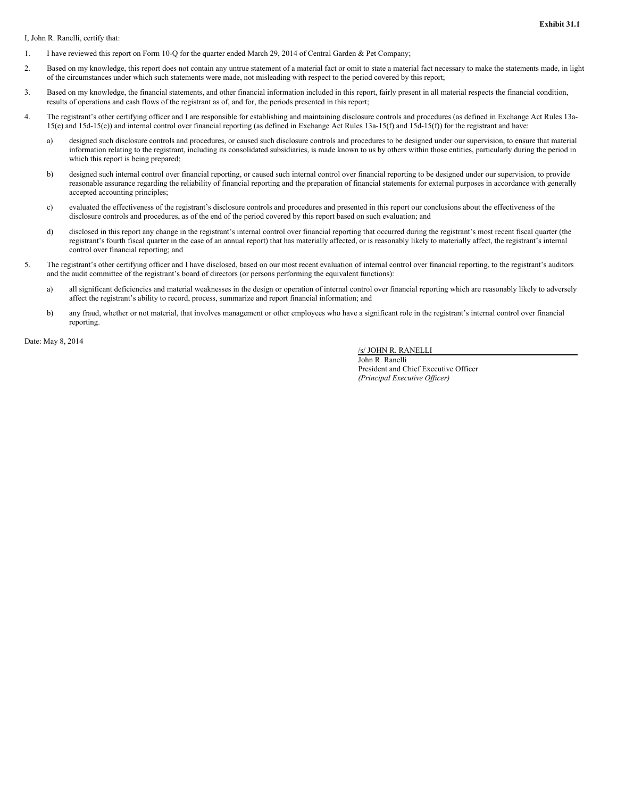**Exhibit 31.1**

I, John R. Ranelli, certify that:

- 1. I have reviewed this report on Form 10-Q for the quarter ended March 29, 2014 of Central Garden & Pet Company;
- 2. Based on my knowledge, this report does not contain any untrue statement of a material fact or omit to state a material fact necessary to make the statements made, in light of the circumstances under which such statements were made, not misleading with respect to the period covered by this report;
- 3. Based on my knowledge, the financial statements, and other financial information included in this report, fairly present in all material respects the financial condition, results of operations and cash flows of the registrant as of, and for, the periods presented in this report;
- 4. The registrant's other certifying officer and I are responsible for establishing and maintaining disclosure controls and procedures (as defined in Exchange Act Rules 13a-15(e) and 15d-15(e)) and internal control over financial reporting (as defined in Exchange Act Rules 13a-15(f) and 15d-15(f)) for the registrant and have:
	- a) designed such disclosure controls and procedures, or caused such disclosure controls and procedures to be designed under our supervision, to ensure that material information relating to the registrant, including its consolidated subsidiaries, is made known to us by others within those entities, particularly during the period in which this report is being prepared;
	- b) designed such internal control over financial reporting, or caused such internal control over financial reporting to be designed under our supervision, to provide reasonable assurance regarding the reliability of financial reporting and the preparation of financial statements for external purposes in accordance with generally accepted accounting principles;
	- c) evaluated the effectiveness of the registrant's disclosure controls and procedures and presented in this report our conclusions about the effectiveness of the disclosure controls and procedures, as of the end of the period covered by this report based on such evaluation; and
	- d) disclosed in this report any change in the registrant's internal control over financial reporting that occurred during the registrant's most recent fiscal quarter (the registrant's fourth fiscal quarter in the case of an annual report) that has materially affected, or is reasonably likely to materially affect, the registrant's internal control over financial reporting; and
- 5. The registrant's other certifying officer and I have disclosed, based on our most recent evaluation of internal control over financial reporting, to the registrant's auditors and the audit committee of the registrant's board of directors (or persons performing the equivalent functions):
	- a) all significant deficiencies and material weaknesses in the design or operation of internal control over financial reporting which are reasonably likely to adversely affect the registrant's ability to record, process, summarize and report financial information; and
	- b) any fraud, whether or not material, that involves management or other employees who have a significant role in the registrant's internal control over financial reporting.

Date: May 8, 2014

/s/ JOHN R. RANELLI

John R. Ranelli President and Chief Executive Officer *(Principal Executive Of icer)*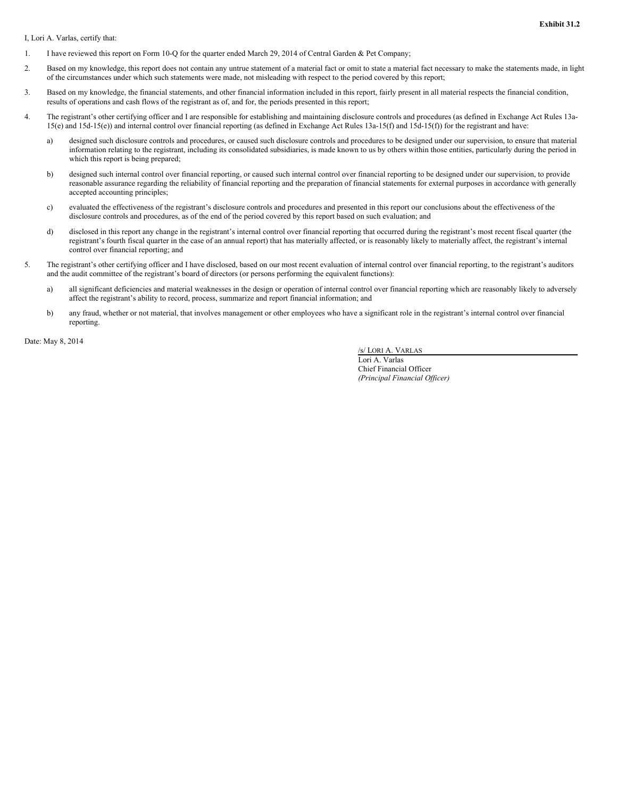**Exhibit 31.2**

I, Lori A. Varlas, certify that:

- 1. I have reviewed this report on Form 10-Q for the quarter ended March 29, 2014 of Central Garden & Pet Company;
- 2. Based on my knowledge, this report does not contain any untrue statement of a material fact or omit to state a material fact necessary to make the statements made, in light of the circumstances under which such statements were made, not misleading with respect to the period covered by this report;
- 3. Based on my knowledge, the financial statements, and other financial information included in this report, fairly present in all material respects the financial condition, results of operations and cash flows of the registrant as of, and for, the periods presented in this report;
- 4. The registrant's other certifying officer and I are responsible for establishing and maintaining disclosure controls and procedures (as defined in Exchange Act Rules 13a-15(e) and 15d-15(e)) and internal control over financial reporting (as defined in Exchange Act Rules 13a-15(f) and 15d-15(f)) for the registrant and have:
	- a) designed such disclosure controls and procedures, or caused such disclosure controls and procedures to be designed under our supervision, to ensure that material information relating to the registrant, including its consolidated subsidiaries, is made known to us by others within those entities, particularly during the period in which this report is being prepared;
	- b) designed such internal control over financial reporting, or caused such internal control over financial reporting to be designed under our supervision, to provide reasonable assurance regarding the reliability of financial reporting and the preparation of financial statements for external purposes in accordance with generally accepted accounting principles;
	- c) evaluated the effectiveness of the registrant's disclosure controls and procedures and presented in this report our conclusions about the effectiveness of the disclosure controls and procedures, as of the end of the period covered by this report based on such evaluation; and
	- d) disclosed in this report any change in the registrant's internal control over financial reporting that occurred during the registrant's most recent fiscal quarter (the registrant's fourth fiscal quarter in the case of an annual report) that has materially affected, or is reasonably likely to materially affect, the registrant's internal control over financial reporting; and
- 5. The registrant's other certifying officer and I have disclosed, based on our most recent evaluation of internal control over financial reporting, to the registrant's auditors and the audit committee of the registrant's board of directors (or persons performing the equivalent functions):
	- a) all significant deficiencies and material weaknesses in the design or operation of internal control over financial reporting which are reasonably likely to adversely affect the registrant's ability to record, process, summarize and report financial information; and
	- b) any fraud, whether or not material, that involves management or other employees who have a significant role in the registrant's internal control over financial reporting.

Date: May 8, 2014

/s/ LORI A. VARLAS

Lori A. Varlas Chief Financial Officer *(Principal Financial Of icer)*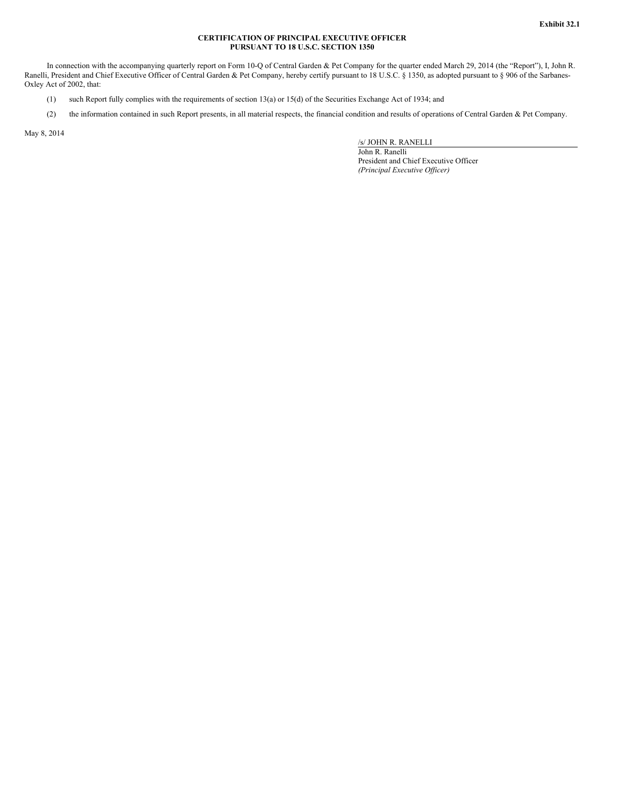#### **CERTIFICATION OF PRINCIPAL EXECUTIVE OFFICER PURSUANT TO 18 U.S.C. SECTION 1350**

In connection with the accompanying quarterly report on Form 10-Q of Central Garden & Pet Company for the quarter ended March 29, 2014 (the "Report"), I, John R. Ranelli, President and Chief Executive Officer of Central Garden & Pet Company, hereby certify pursuant to 18 U.S.C. § 1350, as adopted pursuant to § 906 of the Sarbanes-Oxley Act of 2002, that:

- (1) such Report fully complies with the requirements of section 13(a) or 15(d) of the Securities Exchange Act of 1934; and
- (2) the information contained in such Report presents, in all material respects, the financial condition and results of operations of Central Garden & Pet Company.

May 8, 2014

/s/ JOHN R. RANELLI

John R. Ranelli President and Chief Executive Officer *(Principal Executive Of icer)*